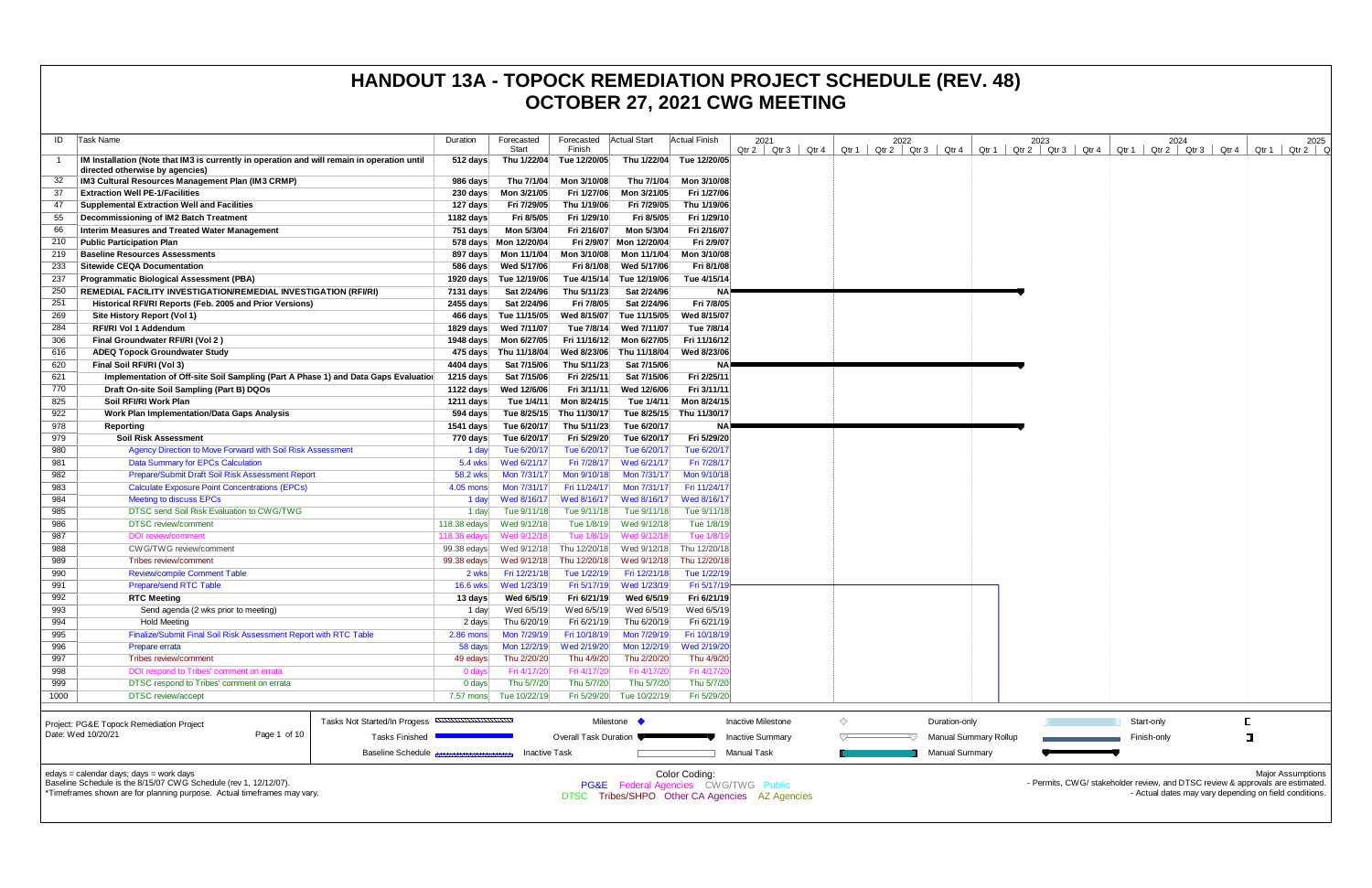| ID           | Task Name                                                                                             | Duration        | Forecasted<br>Start   | Forecasted<br>Finish  | <b>Actual Start</b> | Actual Finish | 2021<br>Qtr 2<br>Qtr 3                          | Qtr 4 | Qtr 1 | 2022<br>Qtr 2 | Qtr <sub>3</sub><br>Qtr 4 | Qtr $1 \mid C$               |
|--------------|-------------------------------------------------------------------------------------------------------|-----------------|-----------------------|-----------------------|---------------------|---------------|-------------------------------------------------|-------|-------|---------------|---------------------------|------------------------------|
| $\mathbf{1}$ | IM Installation (Note that IM3 is currently in operation and will remain in operation until           | 512 days        | Thu 1/22/04           | Tue 12/20/05          | Thu 1/22/04         | Tue 12/20/05  |                                                 |       |       |               |                           |                              |
|              | directed otherwise by agencies)                                                                       |                 |                       |                       |                     |               |                                                 |       |       |               |                           |                              |
| -32          | IM3 Cultural Resources Management Plan (IM3 CRMP)                                                     | 986 days        | Thu 7/1/04            | Mon 3/10/08           | Thu 7/1/04          | Mon 3/10/08   |                                                 |       |       |               |                           |                              |
| 37           | <b>Extraction Well PE-1/Facilities</b>                                                                | 230 days        | Mon 3/21/05           | Fri 1/27/06           | Mon 3/21/05         | Fri 1/27/06   |                                                 |       |       |               |                           |                              |
| 47           | <b>Supplemental Extraction Well and Facilities</b>                                                    | 127 days        | Fri 7/29/05           | Thu 1/19/06           | Fri 7/29/05         | Thu 1/19/06   |                                                 |       |       |               |                           |                              |
| 55           | Decommissioning of IM2 Batch Treatment                                                                | 1182 days       | Fri 8/5/05            | Fri 1/29/10           | Fri 8/5/05          | Fri 1/29/10   |                                                 |       |       |               |                           |                              |
| 66           | Interim Measures and Treated Water Management                                                         | 751 days        | Mon 5/3/04            | Fri 2/16/07           | Mon 5/3/04          | Fri 2/16/07   |                                                 |       |       |               |                           |                              |
| 210          | <b>Public Participation Plan</b>                                                                      |                 | 578 days Mon 12/20/04 | Fri 2/9/07            | Mon 12/20/04        | Fri 2/9/07    |                                                 |       |       |               |                           |                              |
| 219          | <b>Baseline Resources Assessments</b>                                                                 | 897 days        | Mon 11/1/04           | Mon 3/10/08           | Mon 11/1/04         | Mon 3/10/08   |                                                 |       |       |               |                           |                              |
| 233          | <b>Sitewide CEQA Documentation</b>                                                                    | 586 days        | Wed 5/17/06           | Fri 8/1/08            | Wed 5/17/06         | Fri 8/1/08    |                                                 |       |       |               |                           |                              |
| 237          | Programmatic Biological Assessment (PBA)                                                              | 1920 days       | Tue 12/19/06          | Tue 4/15/14           | Tue 12/19/06        | Tue 4/15/14   |                                                 |       |       |               |                           |                              |
| 250          | REMEDIAL FACILITY INVESTIGATION/REMEDIAL INVESTIGATION (RFI/RI)                                       | 7131 days       | Sat 2/24/96           | Thu 5/11/23           | Sat 2/24/96         | ΝA            |                                                 |       |       |               |                           |                              |
| 251          | Historical RFI/RI Reports (Feb. 2005 and Prior Versions)                                              | 2455 days       | Sat 2/24/96           | Fri 7/8/05            | Sat 2/24/96         | Fri 7/8/05    |                                                 |       |       |               |                           |                              |
| 269          | Site History Report (Vol 1)                                                                           | 466 days        | Tue 11/15/05          | Wed 8/15/07           | Tue 11/15/05        | Wed 8/15/07   |                                                 |       |       |               |                           |                              |
| 284          | <b>RFI/RI Vol 1 Addendum</b>                                                                          | 1829 days       | Wed 7/11/07           | Tue 7/8/14            | Wed 7/11/07         | Tue 7/8/14    |                                                 |       |       |               |                           |                              |
| 306          | Final Groundwater RFI/RI (Vol 2)                                                                      | 1948 days       | Mon 6/27/05           | Fri 11/16/12          | Mon 6/27/05         | Fri 11/16/12  |                                                 |       |       |               |                           |                              |
| 616          | <b>ADEQ Topock Groundwater Study</b>                                                                  |                 | 475 days Thu 11/18/04 | Wed 8/23/06           | Thu 11/18/04        | Wed 8/23/06   |                                                 |       |       |               |                           |                              |
| 620          | Final Soil RFI/RI (Vol 3)                                                                             | 4404 days       | Sat 7/15/06           | Thu 5/11/23           | Sat 7/15/06         | ΝA            |                                                 |       |       |               |                           |                              |
| 621          | Implementation of Off-site Soil Sampling (Part A Phase 1) and Data Gaps Evaluation                    | 1215 days       | Sat 7/15/06           | Fri 2/25/11           | Sat 7/15/06         | Fri 2/25/11   |                                                 |       |       |               |                           |                              |
| 770          | Draft On-site Soil Sampling (Part B) DQOs                                                             | 1122 days       | Wed 12/6/06           | Fri 3/11/11           | Wed 12/6/06         | Fri 3/11/11   |                                                 |       |       |               |                           |                              |
| 825          | Soil RFI/RI Work Plan                                                                                 | 1211 days       | Tue 1/4/11            | Mon 8/24/15           | Tue 1/4/11          | Mon 8/24/15   |                                                 |       |       |               |                           |                              |
| 922          | Work Plan Implementation/Data Gaps Analysis                                                           | 594 days        | Tue 8/25/15           | Thu 11/30/17          | Tue 8/25/15         | Thu 11/30/17  |                                                 |       |       |               |                           |                              |
| 978          | Reporting                                                                                             | 1541 days       | Tue 6/20/17           | Thu 5/11/23           | Tue 6/20/17         | <b>NA</b>     |                                                 |       |       |               |                           |                              |
| 979          | <b>Soil Risk Assessment</b>                                                                           | 770 days        | Tue 6/20/17           | Fri 5/29/20           | Tue 6/20/17         | Fri 5/29/20   |                                                 |       |       |               |                           |                              |
| 980          | Agency Direction to Move Forward with Soil Risk Assessment                                            | 1 day           | Tue 6/20/17           | Tue 6/20/17           | Tue 6/20/17         | Tue 6/20/17   |                                                 |       |       |               |                           |                              |
| 981          | <b>Data Summary for EPCs Calculation</b>                                                              | 5.4 wks         | Wed 6/21/17           | Fri 7/28/17           | Wed 6/21/17         | Fri 7/28/17   |                                                 |       |       |               |                           |                              |
| 982          | Prepare/Submit Draft Soil Risk Assessment Report                                                      | 58.2 wks        | Mon 7/31/17           | Mon 9/10/18           | Mon 7/31/17         | Mon 9/10/18   |                                                 |       |       |               |                           |                              |
| 983          | <b>Calculate Exposure Point Concentrations (EPCs)</b>                                                 | 4.05 mons       | Mon 7/31/17           | Fri 11/24/17          | Mon 7/31/17         | Fri 11/24/17  |                                                 |       |       |               |                           |                              |
| 984          | <b>Meeting to discuss EPCs</b>                                                                        | 1 day           | Wed 8/16/17           | Wed 8/16/17           | Wed 8/16/17         | Wed 8/16/17   |                                                 |       |       |               |                           |                              |
| 985          | DTSC send Soil Risk Evaluation to CWG/TWG                                                             | 1 day           | Tue 9/11/18           | Tue 9/11/18           | Tue 9/11/18         | Tue 9/11/18   |                                                 |       |       |               |                           |                              |
| 986          | <b>DTSC</b> review/comment                                                                            | 118.38 edays    | Wed 9/12/18           | Tue 1/8/19            | Wed 9/12/18         | Tue 1/8/19    |                                                 |       |       |               |                           |                              |
| 987          | DOI review/comment                                                                                    | 118.38 edays    | Wed 9/12/18           | Tue 1/8/19            | Wed 9/12/18         | Tue 1/8/19    |                                                 |       |       |               |                           |                              |
| 988          | CWG/TWG review/comment                                                                                | 99.38 edays     | Wed 9/12/18           | Thu 12/20/18          | Wed 9/12/18         | Thu 12/20/18  |                                                 |       |       |               |                           |                              |
| 989          | Tribes review/comment                                                                                 | 99.38 edays     | Wed 9/12/18           | Thu 12/20/18          | Wed 9/12/18         | Thu 12/20/18  |                                                 |       |       |               |                           |                              |
| 990          | <b>Review/compile Comment Table</b>                                                                   | 2 wks           | Fri 12/21/18          | Tue 1/22/19           | Fri 12/21/18        | Tue 1/22/19   |                                                 |       |       |               |                           |                              |
| 991          | <b>Prepare/send RTC Table</b>                                                                         | <b>16.6 wks</b> | Wed 1/23/19           | Fri 5/17/19           | Wed 1/23/19         | Fri 5/17/19   |                                                 |       |       |               |                           |                              |
| 992          | <b>RTC Meeting</b>                                                                                    | 13 days         | Wed 6/5/19            | Fri 6/21/19           | Wed 6/5/19          | Fri 6/21/19   |                                                 |       |       |               |                           |                              |
| 993          | Send agenda (2 wks prior to meeting)                                                                  | 1 day           | Wed 6/5/19            | Wed 6/5/19            | Wed 6/5/19          | Wed 6/5/19    |                                                 |       |       |               |                           |                              |
| 994          | <b>Hold Meeting</b>                                                                                   | 2 days          | Thu 6/20/19           | Fri 6/21/19           | Thu 6/20/19         | Fri 6/21/19   |                                                 |       |       |               |                           |                              |
| 995          | Finalize/Submit Final Soil Risk Assessment Report with RTC Table                                      | 2.86 mons       | Mon 7/29/19           | Fri 10/18/19          | Mon 7/29/19         | Fri 10/18/19  |                                                 |       |       |               |                           |                              |
| 996          | Prepare errata                                                                                        | 58 days         | Mon 12/2/19           | Wed 2/19/20           | Mon 12/2/19         | Wed 2/19/20   |                                                 |       |       |               |                           |                              |
| 997          | Tribes review/comment                                                                                 | 49 edays        | Thu 2/20/20           | Thu 4/9/20            | Thu 2/20/20         | Thu 4/9/20    |                                                 |       |       |               |                           |                              |
| 998          | DOI respond to Tribes' comment on errata                                                              | 0 days          | Fri 4/17/20           | Fri 4/17/20           | Fri 4/17/20         | Fri 4/17/20   |                                                 |       |       |               |                           |                              |
| 999          | DTSC respond to Tribes' comment on errata                                                             | 0 days          | Thu 5/7/20            | Thu 5/7/20            | Thu 5/7/20          | Thu 5/7/20    |                                                 |       |       |               |                           |                              |
| 1000         | <b>DTSC</b> review/accept                                                                             | 7.57 mons       | Tue 10/22/19          | Fri 5/29/20           | Tue 10/22/19        | Fri 5/29/20   |                                                 |       |       |               |                           |                              |
|              |                                                                                                       |                 |                       |                       |                     |               |                                                 |       |       |               |                           |                              |
|              | Tasks Not Started/In Progess <b>CONTROLLER IN THE REA</b><br>Project: PG&E Topock Remediation Project |                 |                       |                       | Milestone •         |               | <b>Inactive Milestone</b>                       |       | ◇     |               | Duration-only             |                              |
|              | Date: Wed 10/20/21<br>Page 1 of 10<br><b>Tasks Finished</b>                                           |                 |                       | Overall Task Duration |                     |               | <b>Inactive Summary</b>                         |       |       |               |                           | <b>Manual Summary Rollup</b> |
|              |                                                                                                       |                 |                       |                       |                     |               |                                                 |       |       |               |                           |                              |
|              | <b>Baseline Schedule</b>                                                                              |                 | <b>Inactive Task</b>  |                       |                     |               | <b>Manual Task</b>                              |       |       |               | <b>Manual Summary</b>     |                              |
|              | $edays = calendar days$ ; days = work days                                                            |                 |                       |                       |                     | Color Coding: |                                                 |       |       |               |                           |                              |
|              | Baseline Schedule is the 8/15/07 CWG Schedule (rev 1, 12/12/07).                                      |                 |                       |                       |                     |               | <b>PG&amp;E</b> Federal Agencies CWG/TWG Public |       |       |               |                           |                              |
|              | *Timeframes shown are for planning purpose. Actual timeframes may vary.                               |                 |                       |                       |                     |               | DTSC Tribes/SHPO Other CA Agencies AZ Agencies  |       |       |               |                           |                              |
|              |                                                                                                       |                 |                       |                       |                     |               |                                                 |       |       |               |                           |                              |

| 2021<br>2022<br>$Qtr 2$ $Qtr 3$<br>Qtr 4 |                |  |  |                       |       | 2023            |       |       |             | 2024            |       |                                                | 2025  |
|------------------------------------------|----------------|--|--|-----------------------|-------|-----------------|-------|-------|-------------|-----------------|-------|------------------------------------------------|-------|
| Qtr 2   Qtr 3                            | Qtr 1          |  |  | Qtr 4                 | Qtr 1 | $Qtr 2$ $Qtr 3$ | Qtr 4 | Qtr 1 |             | $Qtr 2$ $Qtr 3$ | Qtr 4 | Qtr 1                                          | Qtr 2 |
|                                          |                |  |  |                       |       |                 |       |       |             |                 |       |                                                |       |
|                                          |                |  |  |                       |       |                 |       |       |             |                 |       |                                                |       |
|                                          |                |  |  |                       |       |                 |       |       |             |                 |       |                                                |       |
|                                          |                |  |  |                       |       |                 |       |       |             |                 |       |                                                |       |
|                                          |                |  |  |                       |       |                 |       |       |             |                 |       |                                                |       |
|                                          |                |  |  |                       |       |                 |       |       |             |                 |       |                                                |       |
|                                          |                |  |  |                       |       |                 |       |       |             |                 |       |                                                |       |
|                                          |                |  |  |                       |       |                 |       |       |             |                 |       |                                                |       |
|                                          |                |  |  |                       |       |                 |       |       |             |                 |       |                                                |       |
|                                          |                |  |  |                       |       |                 |       |       |             |                 |       |                                                |       |
|                                          |                |  |  |                       |       |                 |       |       |             |                 |       |                                                |       |
|                                          |                |  |  |                       |       |                 |       |       |             |                 |       |                                                |       |
|                                          |                |  |  |                       |       |                 |       |       |             |                 |       |                                                |       |
|                                          |                |  |  |                       |       |                 |       |       |             |                 |       |                                                |       |
|                                          |                |  |  |                       |       |                 |       |       |             |                 |       |                                                |       |
|                                          |                |  |  |                       |       |                 |       |       |             |                 |       |                                                |       |
|                                          |                |  |  |                       |       |                 |       |       |             |                 |       |                                                |       |
|                                          |                |  |  |                       |       |                 |       |       |             |                 |       |                                                |       |
|                                          |                |  |  |                       |       |                 |       |       |             |                 |       |                                                |       |
|                                          |                |  |  |                       |       |                 |       |       |             |                 |       |                                                |       |
|                                          |                |  |  |                       |       |                 |       |       |             |                 |       |                                                |       |
|                                          |                |  |  |                       |       |                 |       |       |             |                 |       |                                                |       |
|                                          |                |  |  |                       |       |                 |       |       |             |                 |       |                                                |       |
|                                          |                |  |  |                       |       |                 |       |       |             |                 |       |                                                |       |
|                                          |                |  |  |                       |       |                 |       |       |             |                 |       |                                                |       |
|                                          |                |  |  |                       |       |                 |       |       |             |                 |       |                                                |       |
|                                          |                |  |  |                       |       |                 |       |       |             |                 |       |                                                |       |
|                                          |                |  |  |                       |       |                 |       |       |             |                 |       |                                                |       |
|                                          |                |  |  |                       |       |                 |       |       |             |                 |       |                                                |       |
|                                          |                |  |  |                       |       |                 |       |       |             |                 |       |                                                |       |
|                                          |                |  |  |                       |       |                 |       |       |             |                 |       |                                                |       |
|                                          |                |  |  |                       |       |                 |       |       |             |                 |       |                                                |       |
|                                          |                |  |  |                       |       |                 |       |       |             |                 |       |                                                |       |
|                                          |                |  |  |                       |       |                 |       |       |             |                 |       |                                                |       |
|                                          |                |  |  |                       |       |                 |       |       |             |                 |       |                                                |       |
|                                          |                |  |  |                       |       |                 |       |       |             |                 |       |                                                |       |
|                                          |                |  |  |                       |       |                 |       |       |             |                 |       |                                                |       |
|                                          |                |  |  |                       |       |                 |       |       |             |                 |       |                                                |       |
|                                          |                |  |  |                       |       |                 |       |       |             |                 |       |                                                |       |
| ctive Milestone                          | $\diamondsuit$ |  |  | Duration-only         |       |                 |       |       | Start-only  |                 |       | $\mathsf{L}% _{0}\left( \mathsf{L}_{1}\right)$ |       |
| ctive Summary                            | ▽              |  |  | Manual Summary Rollup |       |                 |       |       | Finish-only |                 |       | $\Box$                                         |       |
| nual Task                                |                |  |  | Manual Summary        |       |                 |       |       |             |                 |       |                                                |       |
|                                          |                |  |  |                       |       |                 |       |       |             |                 |       |                                                |       |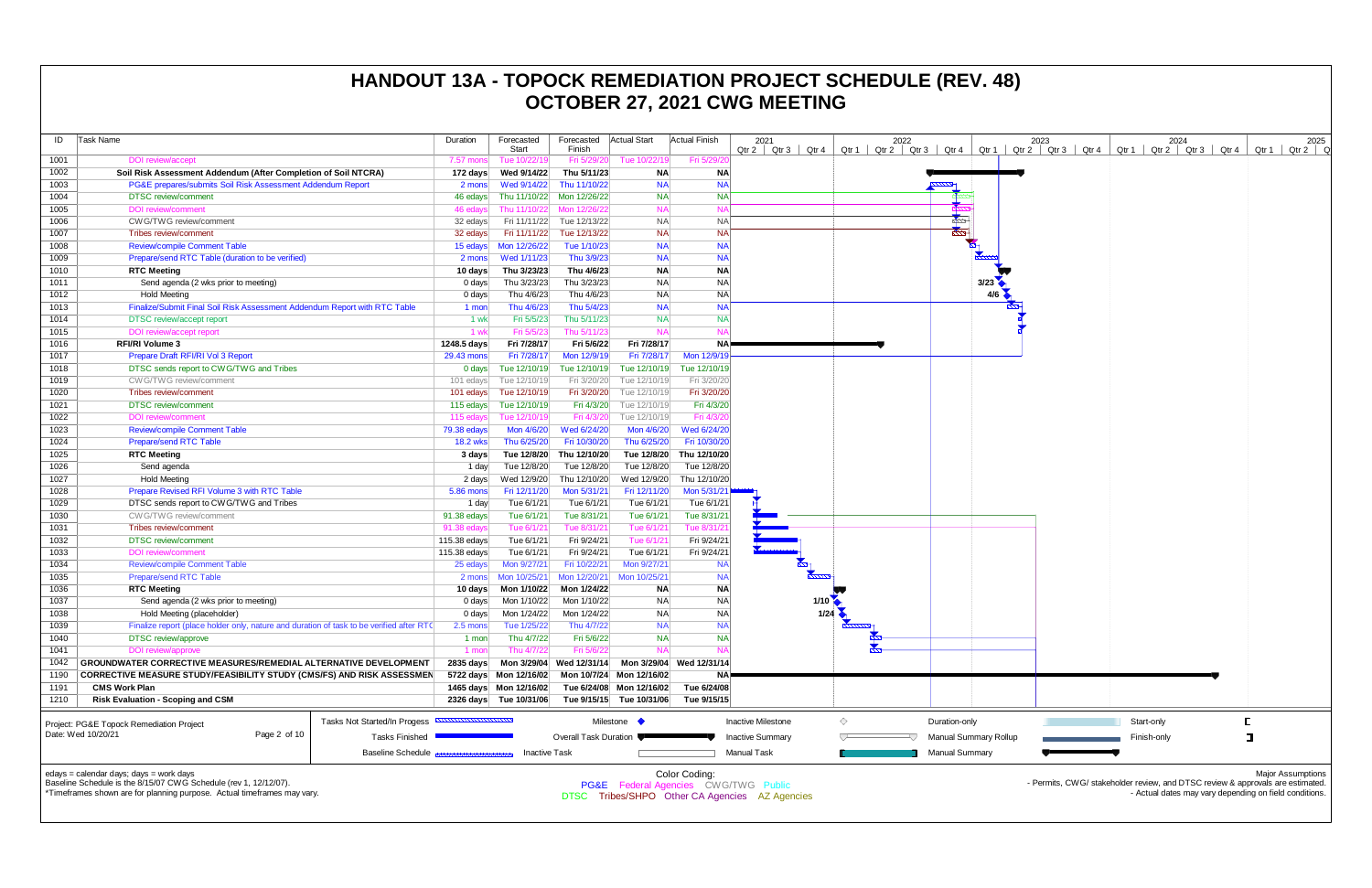| ID                 | Task Name                                                                                                              | Duration          | Forecasted<br>Start       | Forecasted Actual Start<br>Finish |                                                      | <b>Actual Finish</b>   | 2021                                            | 2022 |                             | 2023<br>Qtr 2   Qtr 3   Qtr 4   Qtr 1   Qtr 2   Qtr 3   Qtr 4   Qtr 1   Qtr 2   Qtr 3   Qtr 4   Qtr 1   Qtr 2   Qtr 4   Qtr 1   Qtr 2   Q | 2024        | 2025                                                   |
|--------------------|------------------------------------------------------------------------------------------------------------------------|-------------------|---------------------------|-----------------------------------|------------------------------------------------------|------------------------|-------------------------------------------------|------|-----------------------------|-------------------------------------------------------------------------------------------------------------------------------------------|-------------|--------------------------------------------------------|
| 1001               | <b>DOI</b> review/accept                                                                                               | 7.57 mons         | Tue 10/22/19              | Fri 5/29/20                       | Tue 10/22/19                                         | Fri 5/29/2             |                                                 |      |                             |                                                                                                                                           |             |                                                        |
| 1002               | Soil Risk Assessment Addendum (After Completion of Soil NTCRA)                                                         | 172 days          | Wed 9/14/22               | Thu 5/11/23                       | <b>NA</b>                                            | NA                     |                                                 |      |                             |                                                                                                                                           |             |                                                        |
| 1003               | PG&E prepares/submits Soil Risk Assessment Addendum Report                                                             | 2 mons            | Wed 9/14/22               | Thu 11/10/22                      | <b>NA</b>                                            | <b>NA</b>              |                                                 |      |                             |                                                                                                                                           |             |                                                        |
| 1004               | <b>DTSC</b> review/comment                                                                                             | 46 edays          |                           | Thu 11/10/22 Mon 12/26/22         | <b>NA</b>                                            | <b>NA</b>              |                                                 |      |                             |                                                                                                                                           |             |                                                        |
| 1005               | <b>DOI</b> review/comment                                                                                              | 46 edays          |                           | Thu 11/10/22 Mon 12/26/22         | <b>NA</b>                                            | <b>NA</b>              |                                                 |      |                             |                                                                                                                                           |             |                                                        |
| 1006               | CW G/TWG review/comment                                                                                                | 32 edays          |                           | Fri 11/11/22 Tue 12/13/22         | <b>NA</b>                                            | <b>NA</b>              |                                                 |      | <b>Reduction Street</b>     |                                                                                                                                           |             |                                                        |
| 1007               | Tribes review/comment                                                                                                  | 32 edays          |                           | Fri 11/11/22 Tue 12/13/22         | <b>NA</b>                                            | <b>NA</b>              |                                                 |      | ł                           |                                                                                                                                           |             |                                                        |
| 1008               | <b>Review/compile Comment Table</b>                                                                                    | 15 edays          | Mon 12/26/22              | Tue 1/10/23                       | <b>NA</b>                                            | <b>NA</b>              |                                                 |      |                             |                                                                                                                                           |             |                                                        |
| 1009               | Prepare/send RTC Table (duration to be verified)                                                                       | 2 mons            | Wed 1/11/23               | Thu 3/9/23                        | <b>NA</b>                                            | <b>NA</b>              |                                                 |      |                             |                                                                                                                                           |             |                                                        |
| 1010               | <b>RTC Meeting</b>                                                                                                     | 10 days           | Thu 3/23/23               | Thu 4/6/23                        | <b>NA</b>                                            | <b>NA</b>              |                                                 |      |                             |                                                                                                                                           |             |                                                        |
| 1011               | Send agenda (2 wks prior to meeting)                                                                                   | 0 days            | Thu 3/23/23               | Thu 3/23/23                       | <b>NA</b>                                            | <b>NA</b>              |                                                 |      | 3/23                        |                                                                                                                                           |             |                                                        |
| 1012               | <b>Hold Meeting</b>                                                                                                    | 0 days            | Thu 4/6/23                | Thu 4/6/23                        | NA                                                   | <b>NA</b>              |                                                 |      | $4/6$ $\blacktriangleright$ |                                                                                                                                           |             |                                                        |
| 1013               | Finalize/Submit Final Soil Risk Assessment Addendum Report with RTC Table                                              | 1 mon             | Thu 4/6/23                | Thu 5/4/23                        | <b>NA</b>                                            | <b>NA</b>              |                                                 |      |                             |                                                                                                                                           |             |                                                        |
| 1014               | DTSC review/accept report                                                                                              | 1 wk              | Fri 5/5/23                | Thu 5/11/23                       | <b>NA</b>                                            | <b>NA</b>              |                                                 |      |                             |                                                                                                                                           |             |                                                        |
| 1015               | DOI review/accept report                                                                                               | 1 wk              | Fri 5/5/23                | Thu 5/11/23                       | <b>NA</b>                                            |                        |                                                 |      |                             |                                                                                                                                           |             |                                                        |
| 1016               | <b>RFI/RI Volume 3</b>                                                                                                 | 1248.5 days       | Fri 7/28/17               | Fri 5/6/22                        | Fri 7/28/17                                          | NA P                   |                                                 |      |                             |                                                                                                                                           |             |                                                        |
| 1017               | Prepare Draft RFI/RI Vol 3 Report                                                                                      | 29.43 mons        | Fri 7/28/17               | Mon 12/9/19                       | Fri 7/28/17                                          | Mon 12/9/19            |                                                 |      |                             |                                                                                                                                           |             |                                                        |
| 1018               | DTSC sends report to CWG/TWG and Tribes                                                                                | 0 days            | Tue 12/10/19              | Tue 12/10/19                      | Tue 12/10/19                                         | Tue 12/10/19           |                                                 |      |                             |                                                                                                                                           |             |                                                        |
| 1019               | CW G/TWG review/comment                                                                                                | 101 edays         | Tue 12/10/19              | Fri 3/20/20                       | Tue 12/10/19                                         | Fri 3/20/20            |                                                 |      |                             |                                                                                                                                           |             |                                                        |
| 1020               | Tribes review/comment                                                                                                  | 101 edays         | Tue 12/10/19              | Fri 3/20/20                       | Tue 12/10/19                                         | Fri 3/20/20            |                                                 |      |                             |                                                                                                                                           |             |                                                        |
| 1021               | <b>DTSC</b> review/comment                                                                                             | 115 edays         | Tue 12/10/19              | Fri 4/3/20                        | Tue 12/10/19                                         | Fri 4/3/20             |                                                 |      |                             |                                                                                                                                           |             |                                                        |
| 1022               | <b>DOI</b> review/comment                                                                                              | 115 edays         | Tue 12/10/19              | Fri 4/3/20                        | Tue 12/10/19                                         | Fri 4/3/20             |                                                 |      |                             |                                                                                                                                           |             |                                                        |
| 1023               | <b>Review/compile Comment Table</b>                                                                                    | 79.38 edays       | Mon 4/6/20                | Wed 6/24/20                       | Mon 4/6/20                                           | Wed 6/24/20            |                                                 |      |                             |                                                                                                                                           |             |                                                        |
| 1024               | <b>Prepare/send RTC Table</b>                                                                                          | <b>18.2 wks</b>   | Thu 6/25/20               | Fri 10/30/20                      | Thu 6/25/20                                          | Fri 10/30/20           |                                                 |      |                             |                                                                                                                                           |             |                                                        |
| 1025               | <b>RTC Meeting</b>                                                                                                     | 3 days            |                           | Tue 12/8/20 Thu 12/10/20          | Tue 12/8/20                                          | Thu 12/10/20           |                                                 |      |                             |                                                                                                                                           |             |                                                        |
| 1026               | Send agenda                                                                                                            | 1 day             | Tue 12/8/20               | Tue 12/8/20                       | Tue 12/8/20                                          | Tue 12/8/20            |                                                 |      |                             |                                                                                                                                           |             |                                                        |
| 1027               | <b>Hold Meeting</b>                                                                                                    | 2 days            | Wed 12/9/20               | Thu 12/10/20                      | Wed 12/9/20                                          | Thu 12/10/20           |                                                 |      |                             |                                                                                                                                           |             |                                                        |
| 1028               | Prepare Revised RFI Volume 3 with RTC Table                                                                            | 5.86 mons         | Fri 12/11/20              | Mon 5/31/21                       | Fri 12/11/20                                         | Mon 5/31/2             |                                                 |      |                             |                                                                                                                                           |             |                                                        |
| 1029               | DTSC sends report to CWG/TWG and Tribes                                                                                | 1 day             | Tue 6/1/21                | Tue 6/1/21                        | Tue 6/1/21                                           | Tue 6/1/21             |                                                 |      |                             |                                                                                                                                           |             |                                                        |
| 1030               | CW G/TWG review/comment                                                                                                | 91.38 edays       | Tue 6/1/21                | Tue 8/31/21                       | Tue 6/1/21                                           | Tue 8/31/21            |                                                 |      |                             |                                                                                                                                           |             |                                                        |
| 1031               | Tribes review/comment                                                                                                  | 91.38 edays       | Tue 6/1/21                | Tue 8/31/21                       | Tue 6/1/21                                           | Tue 8/31/2             |                                                 |      |                             |                                                                                                                                           |             |                                                        |
| 1032               | <b>DTSC</b> review/comment                                                                                             | 115.38 edays      | Tue 6/1/21                | Fri 9/24/21                       | Tue 6/1/21                                           | Fri 9/24/21            |                                                 |      |                             |                                                                                                                                           |             |                                                        |
| 1033               | <b>DOI</b> review/comment                                                                                              | 115.38 edays      | Tue 6/1/21                | Fri 9/24/21                       | Tue 6/1/21                                           | Fri 9/24/21            | $\frac{1}{2}$                                   |      |                             |                                                                                                                                           |             |                                                        |
| 1034               | <b>Review/compile Comment Table</b>                                                                                    | 25 edays          | Mon 9/27/21               | Fri 10/22/21                      | Mon 9/27/21                                          | <b>NA</b>              | $\frac{1}{2}$                                   |      |                             |                                                                                                                                           |             |                                                        |
| 1035               | <b>Prepare/send RTC Table</b>                                                                                          | 2 mons            | Mon 10/25/21              | Mon 12/20/21                      | Mon 10/25/21                                         | <b>NA</b>              |                                                 |      |                             |                                                                                                                                           |             |                                                        |
| 1036               | <b>RTC Meeting</b>                                                                                                     | 10 days           | Mon 1/10/22               | Mon 1/24/22                       | <b>NA</b>                                            | NA                     |                                                 |      |                             |                                                                                                                                           |             |                                                        |
| 1037               | Send agenda (2 wks prior to meeting)                                                                                   | $0 \text{ days}$  | Mon 1/10/22               | Mon 1/10/22                       | <b>NA</b>                                            | <b>NA</b>              |                                                 | 1/10 |                             |                                                                                                                                           |             |                                                        |
| 1038               | Hold Meeting (placeholder)                                                                                             | 0 days            | Mon 1/24/22               | Mon 1/24/22                       | <b>NA</b>                                            | <b>NA</b>              |                                                 | 1/24 |                             |                                                                                                                                           |             |                                                        |
| 1039<br>1040       | Finalize report (place holder only, nature and duration of task to be verified after RTC<br><b>DTSC</b> review/approve | $2.5 \text{ mon}$ | Tue 1/25/22<br>Thu 4/7/22 | Thu 4/7/22<br>Fri 5/6/22          | <b>NA</b><br><b>NA</b>                               | <b>NA</b><br><b>NA</b> |                                                 |      |                             |                                                                                                                                           |             |                                                        |
|                    |                                                                                                                        | 1 mon             | Thu 4/7/22                | Fri 5/6/22                        | <b>NA</b>                                            | <b>NA</b>              |                                                 |      |                             |                                                                                                                                           |             |                                                        |
| 1041               | DOI review/approve                                                                                                     | 1 mon             |                           |                                   |                                                      |                        |                                                 |      |                             |                                                                                                                                           |             |                                                        |
| 1042<br>1190       | <b>GROUNDWATER CORRECTIVE MEASURES/REMEDIAL ALTERNATIVE DEVELOPMENT</b>                                                | 2835 days         | 5722 days Mon 12/16/02    |                                   | Mon 3/29/04 Wed 12/31/14 Mon 3/29/04 Wed 12/31/14    | NA                     |                                                 |      |                             |                                                                                                                                           |             |                                                        |
| 1191               | <b>CORRECTIVE MEASURE STUDY/FEASIBILITY STUDY (CMS/FS) AND RISK ASSESSMEN</b><br><b>CMS Work Plan</b>                  |                   | 1465 days Mon 12/16/02    |                                   | Mon 10/7/24 Mon 12/16/02<br>Tue 6/24/08 Mon 12/16/02 | Tue 6/24/08            |                                                 |      |                             |                                                                                                                                           |             |                                                        |
| 1210               | <b>Risk Evaluation - Scoping and CSM</b>                                                                               |                   | 2326 days Tue 10/31/06    |                                   | Tue 9/15/15 Tue 10/31/06                             | Tue 9/15/15            |                                                 |      |                             |                                                                                                                                           |             |                                                        |
|                    |                                                                                                                        |                   |                           |                                   |                                                      |                        |                                                 |      |                             |                                                                                                                                           |             |                                                        |
|                    | Tasks Not Started/In Progess<br>Project: PG&E Topock Remediation Project                                               |                   |                           |                                   | Milestone •                                          |                        | <b>Inactive Milestone</b>                       | ◇    | Duration-only               |                                                                                                                                           | Start-only  |                                                        |
| Date: Wed 10/20/21 | Page 2 of 10<br><b>Tasks Finished</b>                                                                                  |                   |                           | Overall Task Duration             |                                                      |                        | <b>Inactive Summary</b>                         |      | Manual Summary Rollup       |                                                                                                                                           | Finish-only | Π                                                      |
|                    |                                                                                                                        |                   |                           |                                   |                                                      |                        |                                                 |      |                             |                                                                                                                                           |             |                                                        |
|                    | Baseline Schedule Bassage                                                                                              |                   | <b>Inactive Task</b>      |                                   |                                                      |                        | Manual Task                                     |      | <b>Manual Summary</b>       |                                                                                                                                           |             |                                                        |
|                    | edays = calendar days; days = work days                                                                                |                   |                           |                                   |                                                      | Color Coding:          |                                                 |      |                             |                                                                                                                                           |             | <b>Major Assumptions</b>                               |
|                    | Baseline Schedule is the 8/15/07 CWG Schedule (rev 1, 12/12/07).                                                       |                   |                           |                                   |                                                      |                        | <b>PG&amp;E</b> Federal Agencies CWG/TWG Public |      |                             | - Permits, CWG/ stakeholder review, and DTSC review & approvals are estimated.                                                            |             |                                                        |
|                    | *Timeframes shown are for planning purpose. Actual timeframes may vary.                                                |                   |                           | DTSC.                             |                                                      |                        | Tribes/SHPO Other CA Agencies AZ Agencies       |      |                             |                                                                                                                                           |             | - Actual dates may vary depending on field conditions. |
|                    |                                                                                                                        |                   |                           |                                   |                                                      |                        |                                                 |      |                             |                                                                                                                                           |             |                                                        |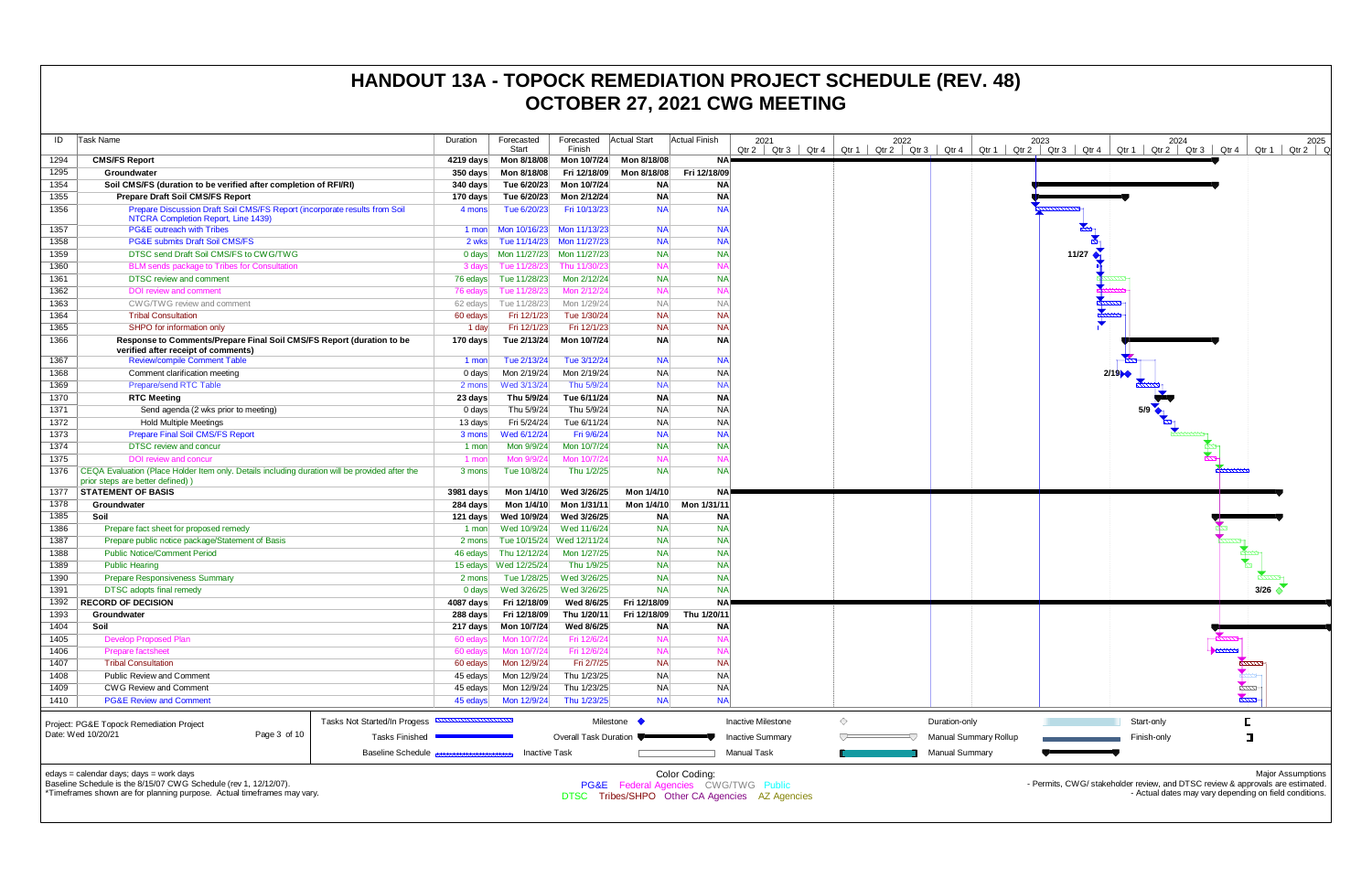| ID           | Task Name                                                                                                                          |                                                          | Duration                                 | Forecasted             | Forecasted                 | <b>Actual Start</b>       | <b>Actual Finish</b>             | 2021                      |                 | 2022             |                       |                              |
|--------------|------------------------------------------------------------------------------------------------------------------------------------|----------------------------------------------------------|------------------------------------------|------------------------|----------------------------|---------------------------|----------------------------------|---------------------------|-----------------|------------------|-----------------------|------------------------------|
| 1294         | <b>CMS/FS Report</b>                                                                                                               |                                                          | $4219 \text{ days}$                      | Start<br>Mon 8/18/08   | Finish<br>Mon 10/7/24      | Mon 8/18/08               | <b>NA</b>                        | Qtr 4<br>Qtr 2<br>Qtr 3   | $Qtr 1$ $Qtr 2$ | Qtr <sub>3</sub> | Qtr 4                 | Qtr 1 $\vert$<br>C           |
| 1295         | Groundwater                                                                                                                        |                                                          |                                          | Mon 8/18/08            | Fri 12/18/09               | Mon 8/18/08               | Fri 12/18/09                     |                           |                 |                  |                       |                              |
| 1354         | Soil CMS/FS (duration to be verified after completion of RFI/RI)                                                                   |                                                          | $350 \text{ days}$<br>$340 \text{ days}$ | Tue 6/20/23            | Mon 10/7/24                | ΝA                        | <b>NA</b>                        |                           |                 |                  |                       |                              |
| 1355         | <b>Prepare Draft Soil CMS/FS Report</b>                                                                                            |                                                          | 170 days                                 | Tue 6/20/23            | Mon 2/12/24                | <b>NA</b>                 | <b>NA</b>                        |                           |                 |                  |                       |                              |
| 1356         | Prepare Discussion Draft Soil CMS/FS Report (incorporate results from Soil                                                         |                                                          | 4 mons                                   | Tue 6/20/23            | Fri 10/13/23               | <b>NA</b>                 | <b>NA</b>                        |                           |                 |                  |                       |                              |
|              | NTCRA Completion Report, Line 1439)                                                                                                |                                                          |                                          |                        |                            |                           |                                  |                           |                 |                  |                       |                              |
| 1357         | <b>PG&amp;E</b> outreach with Tribes                                                                                               |                                                          | 1 mon                                    | Mon 10/16/23           | Mon 11/13/23               | <b>NA</b>                 | <b>NA</b>                        |                           |                 |                  |                       |                              |
| 1358         | <b>PG&amp;E submits Draft Soil CMS/FS</b>                                                                                          |                                                          | 2 wks                                    | Tue 11/14/23           | Mon 11/27/23               | <b>NA</b>                 | <b>NA</b>                        |                           |                 |                  |                       |                              |
| 1359         | DTSC send Draft Soil CMS/FS to CWG/TWG                                                                                             |                                                          | 0 days                                   | Mon 11/27/23           | Mon 11/27/23               | <b>NA</b>                 | <b>NA</b>                        |                           |                 |                  |                       |                              |
| 1360         | BLM sends package to Tribes for Consultation                                                                                       |                                                          | 3 days                                   | Tue 11/28/23           | Thu 11/30/23               | <b>NA</b>                 | <b>NA</b>                        |                           |                 |                  |                       |                              |
| 1361         | <b>DTSC</b> review and comment                                                                                                     |                                                          | 76 edays                                 | Tue 11/28/23           | Mon 2/12/24                | <b>NA</b>                 | <b>NA</b>                        |                           |                 |                  |                       |                              |
| 1362         | DOI review and comment                                                                                                             |                                                          | 76 edays                                 | Tue 11/28/23           | Mon 2/12/24                | <b>NA</b>                 | <b>NA</b>                        |                           |                 |                  |                       |                              |
| 1363         | CWG/TWG review and comment                                                                                                         |                                                          | 62 edays                                 | Tue 11/28/23           | Mon 1/29/24                | <b>NA</b>                 | <b>NA</b>                        |                           |                 |                  |                       |                              |
| 1364         | <b>Tribal Consultation</b>                                                                                                         |                                                          | 60 edays                                 | Fri 12/1/23            | Tue 1/30/24                | <b>NA</b>                 | <b>NA</b>                        |                           |                 |                  |                       |                              |
| 1365         | SHPO for information only                                                                                                          |                                                          | 1 day                                    | Fri 12/1/23            | Fri 12/1/23                | <b>NA</b>                 | <b>NA</b>                        |                           |                 |                  |                       |                              |
| 1366         | Response to Comments/Prepare Final Soil CMS/FS Report (duration to be<br>verified after receipt of comments)                       |                                                          | 170 days                                 | Tue 2/13/24            | Mon 10/7/24                | <b>NA</b>                 | <b>NA</b>                        |                           |                 |                  |                       |                              |
| 1367         | <b>Review/compile Comment Table</b>                                                                                                |                                                          | 1 mon                                    | Tue 2/13/24            | Tue 3/12/24                | <b>NA</b>                 | <b>NA</b>                        |                           |                 |                  |                       |                              |
| 1368         | Comment clarification meeting                                                                                                      |                                                          | 0 days                                   | Mon 2/19/24            | Mon 2/19/24                | <b>NA</b>                 | <b>NA</b>                        |                           |                 |                  |                       |                              |
| 1369         | Prepare/send RTC Table                                                                                                             |                                                          | 2 mons                                   | Wed 3/13/24            | Thu 5/9/24                 | <b>NA</b>                 | <b>NA</b>                        |                           |                 |                  |                       |                              |
| 1370         | <b>RTC Meeting</b>                                                                                                                 |                                                          | 23 days                                  | Thu 5/9/24             | Tue 6/11/24                | <b>NA</b>                 | <b>NA</b>                        |                           |                 |                  |                       |                              |
| 1371         | Send agenda (2 wks prior to meeting)                                                                                               |                                                          | 0 days                                   | Thu 5/9/24             | Thu 5/9/24                 | NA                        | <b>NA</b>                        |                           |                 |                  |                       |                              |
| 1372         | <b>Hold Multiple Meetings</b>                                                                                                      |                                                          | 13 days                                  | Fri 5/24/24            | Tue 6/11/24                | <b>NA</b>                 | <b>NA</b>                        |                           |                 |                  |                       |                              |
| 1373         | <b>Prepare Final Soil CMS/FS Report</b>                                                                                            |                                                          | 3 mons                                   | Wed 6/12/24            | Fri 9/6/24                 | <b>NA</b>                 | <b>NA</b>                        |                           |                 |                  |                       |                              |
| 1374         | <b>DTSC</b> review and concur                                                                                                      |                                                          | 1 mon                                    | Mon 9/9/24             | Mon 10/7/24                | <b>NA</b>                 | <b>NA</b>                        |                           |                 |                  |                       |                              |
| 1375         | <b>DOI</b> review and concur                                                                                                       |                                                          | 1 mon                                    | Mon 9/9/24             | Mon 10/7/24                | <b>NA</b>                 | <b>NA</b>                        |                           |                 |                  |                       |                              |
| 1376         | CEQA Evaluation (Place Holder Item only. Details including duration will be provided after the<br>prior steps are better defined)) |                                                          | 3 mons                                   | Tue 10/8/24            | Thu 1/2/25                 | <b>NA</b>                 | <b>NA</b>                        |                           |                 |                  |                       |                              |
| 1377         | <b>STATEMENT OF BASIS</b>                                                                                                          |                                                          | 3981 days                                | Mon 1/4/10             | Wed 3/26/25                | Mon 1/4/10                | <b>NA</b>                        |                           |                 |                  |                       |                              |
| 1378         | Groundwater                                                                                                                        |                                                          | 284 days                                 | Mon 1/4/10             | Mon 1/31/11                | Mon 1/4/10                | Mon 1/31/11                      |                           |                 |                  |                       |                              |
| 1385         | Soil                                                                                                                               |                                                          | 121 days                                 | Wed 10/9/24            | Wed 3/26/25                | <b>NA</b>                 | <b>NA</b>                        |                           |                 |                  |                       |                              |
| 1386         | Prepare fact sheet for proposed remedy                                                                                             |                                                          | 1 mon                                    | Wed 10/9/24            | Wed 11/6/24                | <b>NA</b>                 | <b>NA</b>                        |                           |                 |                  |                       |                              |
| 1387         | Prepare public notice package/Statement of Basis                                                                                   |                                                          | 2 mons                                   | Tue 10/15/24           | Wed 12/11/24               | <b>NA</b>                 | <b>NA</b>                        |                           |                 |                  |                       |                              |
| 1388         | <b>Public Notice/Comment Period</b>                                                                                                |                                                          | 46 edays                                 | Thu 12/12/24           | Mon 1/27/25                | <b>NA</b>                 | <b>NA</b>                        |                           |                 |                  |                       |                              |
| 1389         | <b>Public Hearing</b>                                                                                                              |                                                          |                                          | 15 edays  Wed 12/25/24 | Thu 1/9/25                 | <b>NA</b>                 | <b>NA</b>                        |                           |                 |                  |                       |                              |
| 1390         | <b>Prepare Responsiveness Summary</b>                                                                                              |                                                          | 2 mons                                   | Tue 1/28/25            | Wed 3/26/25                | <b>NA</b>                 | <b>NA</b>                        |                           |                 |                  |                       |                              |
| 1391         | <b>DTSC</b> adopts final remedy                                                                                                    |                                                          | $0$ days                                 | Wed 3/26/25            | Wed 3/26/25                | <b>NA</b>                 | <b>NA</b>                        |                           |                 |                  |                       |                              |
| 1392         | <b>RECORD OF DECISION</b>                                                                                                          |                                                          | 4087 days                                | Fri 12/18/09           | Wed 8/6/25                 | Fri 12/18/09              | <b>NA</b>                        |                           |                 |                  |                       |                              |
| 1393         | Groundwater                                                                                                                        |                                                          | 288 days                                 | Fri 12/18/09           | Thu 1/20/11                | Fri 12/18/09              | Thu 1/20/11                      |                           |                 |                  |                       |                              |
| 1404         | Soil                                                                                                                               |                                                          | 217 days                                 | Mon 10/7/24            | Wed 8/6/25                 | <b>NA</b>                 | <b>NA</b>                        |                           |                 |                  |                       |                              |
| 1405         | <b>Develop Proposed Plan</b>                                                                                                       |                                                          | 60 edays                                 | Mon 10/7/24            | Fri 12/6/24                | <b>NA</b>                 | <b>NA</b>                        |                           |                 |                  |                       |                              |
| 1406         | Prepare factsheet                                                                                                                  |                                                          | 60 edays                                 | Mon 10/7/24            | Fri 12/6/24                | <b>NA</b>                 | <b>NA</b>                        |                           |                 |                  |                       |                              |
| 1407         | <b>Tribal Consultation</b>                                                                                                         |                                                          | 60 edays                                 | Mon 12/9/24            | Fri 2/7/25                 | <b>NA</b>                 | <b>NA</b>                        |                           |                 |                  |                       |                              |
| 1408         | Public Review and Comment                                                                                                          |                                                          | 45 edays                                 | Mon 12/9/24            | Thu 1/23/25                | <b>NA</b>                 | <b>NA</b>                        |                           |                 |                  |                       |                              |
| 1409<br>1410 | <b>CWG Review and Comment</b><br><b>PG&amp;E Review and Comment</b>                                                                |                                                          | 45 edays<br>45 edays                     | Mon 12/9/24            | Thu 1/23/25<br>Thu 1/23/25 | <b>NA</b><br><b>NA</b>    | <b>NA</b><br><b>NA</b>           |                           |                 |                  |                       |                              |
|              |                                                                                                                                    |                                                          |                                          | Mon 12/9/24            |                            |                           |                                  |                           |                 |                  |                       |                              |
|              | Project: PG&E Topock Remediation Project                                                                                           | Tasks Not Started/In Progess <b>ANNUS HOMEON CONTROL</b> |                                          |                        |                            | Milestone $\blacklozenge$ |                                  | <b>Inactive Milestone</b> | ♦               |                  | Duration-only         |                              |
|              | Date: Wed 10/20/21<br>Page 3 of 10                                                                                                 | <b>Tasks Finished</b>                                    |                                          |                        | Overall Task Duration      |                           |                                  | <b>Inactive Summary</b>   |                 |                  |                       | <b>Manual Summary Rollup</b> |
|              |                                                                                                                                    | <b>Baseline Schedule</b>                                 |                                          | <b>Inactive Task</b>   |                            |                           |                                  | Manual Task               |                 |                  | <b>Manual Summary</b> |                              |
|              | edays = calendar days; days = work days<br>Baseline Schedule is the 8/15/07 CWG Schedule (rev. 1 12/12/07)                         |                                                          |                                          |                        | DO OF Faal                 |                           | Color Coding:<br>$C111C$ $T111C$ |                           |                 |                  |                       |                              |



Baseline Schedule is the 8/15/07 CWG Schedule (rev 1, 12/12/07). \*Timeframes shown are for planning purpose. Actual timeframes may vary. **PG&E** Federal Agencies CWG/TWG Pu

DTSC Tribes/SHPO Other CA Agencies AZ Agencies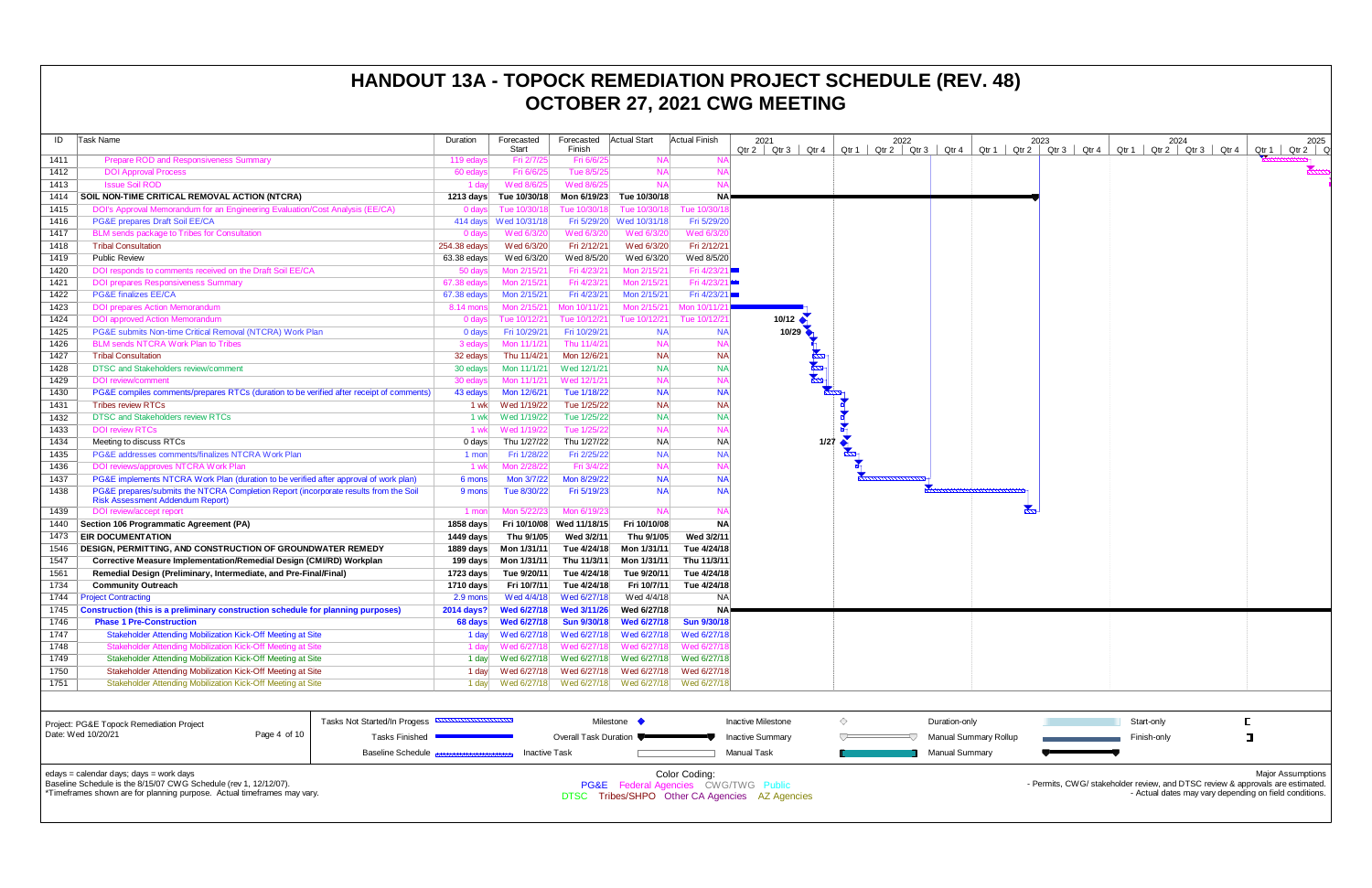| ID   | Task Name                                                                                                                       | Duration     | Forecasted         | Forecasted Actual Start   |              | <b>Actual Finish</b> | 2021                  | 2022                                                                                                                                                                                                                                                                    |               |
|------|---------------------------------------------------------------------------------------------------------------------------------|--------------|--------------------|---------------------------|--------------|----------------------|-----------------------|-------------------------------------------------------------------------------------------------------------------------------------------------------------------------------------------------------------------------------------------------------------------------|---------------|
|      |                                                                                                                                 |              | <b>Start</b>       | Finish                    |              |                      | $Qtr 2$ Qtr 3 Qtr 4   | $Qtr 1$ Qtr 2 Qtr 3 Qtr 4                                                                                                                                                                                                                                               | Qtr 1 $\vert$ |
| 1411 | Prepare ROD and Responsiveness Summary                                                                                          | 119 edays    | Fri 2/7/25         | Fri 6/6/25                | <b>NA</b>    | <b>NA</b>            |                       |                                                                                                                                                                                                                                                                         |               |
| 1412 | <b>DOI Approval Process</b>                                                                                                     | 60 edays     | Fri 6/6/25         | Tue 8/5/25                | <b>NA</b>    | <b>NA</b>            |                       |                                                                                                                                                                                                                                                                         |               |
| 1413 | <b>Issue Soil ROD</b>                                                                                                           | 1 day        | Wed 8/6/25         | Wed 8/6/25                | <b>NA</b>    | <b>NA</b>            |                       |                                                                                                                                                                                                                                                                         |               |
| 1414 | SOIL NON-TIME CRITICAL REMOVAL ACTION (NTCRA)                                                                                   | 1213 days    | Tue 10/30/18       | Mon 6/19/23               | Tue 10/30/18 | <b>NA</b>            |                       |                                                                                                                                                                                                                                                                         |               |
| 1415 | DOI's Approval Memorandum for an Engineering Evaluation/Cost Analysis (EE/CA)                                                   | $0$ days     | Tue 10/30/18       | Tue 10/30/18              | Tue 10/30/18 | Tue 10/30/1          |                       |                                                                                                                                                                                                                                                                         |               |
| 1416 | PG&E prepares Draft Soil EE/CA                                                                                                  | 414 days     | Wed 10/31/18       | Fri 5/29/20               | Wed 10/31/18 | Fri 5/29/20          |                       |                                                                                                                                                                                                                                                                         |               |
| 1417 | <b>BLM</b> sends package to Tribes for Consultation                                                                             | 0 days       | Wed 6/3/20         | Wed 6/3/20                | Wed 6/3/20   | Wed 6/3/20           |                       |                                                                                                                                                                                                                                                                         |               |
| 1418 | <b>Tribal Consultation</b>                                                                                                      | 254.38 edays | Wed 6/3/20         | Fri 2/12/21               | Wed 6/3/20   | Fri 2/12/21          |                       |                                                                                                                                                                                                                                                                         |               |
| 1419 | <b>Public Review</b>                                                                                                            | 63.38 edays  | Wed 6/3/20         | Wed 8/5/20                | Wed 6/3/20   | Wed 8/5/20           |                       |                                                                                                                                                                                                                                                                         |               |
| 1420 | DOI responds to comments received on the Draft Soil EE/CA                                                                       | 50 days      | Mon 2/15/21        | Fri 4/23/21               | Mon 2/15/21  | Fri 4/23/            |                       |                                                                                                                                                                                                                                                                         |               |
| 1421 | <b>DOI prepares Responsiveness Summary</b>                                                                                      | 67.38 edays  | Mon 2/15/21        | Fri 4/23/21               | Mon 2/15/21  | Fri 4/23/2           |                       |                                                                                                                                                                                                                                                                         |               |
| 1422 | <b>PG&amp;E finalizes EE/CA</b>                                                                                                 | 67.38 edays  | Mon 2/15/21        | Fri 4/23/21               | Mon 2/15/21  | Fri 4/23/21          |                       |                                                                                                                                                                                                                                                                         |               |
| 1423 | <b>DOI prepares Action Memorandum</b>                                                                                           | 8.14 mons    | Mon 2/15/21        | Mon 10/11/21              | Mon 2/15/21  | Mon 10/11/2          |                       |                                                                                                                                                                                                                                                                         |               |
| 1424 | <b>DOI</b> approved Action Memorandum                                                                                           | $0$ days     | Tue 10/12/21       | Tue 10/12/21              | Tue 10/12/21 | Tue 10/12/2          | 10/12 $\triangleleft$ |                                                                                                                                                                                                                                                                         |               |
| 1425 | PG&E submits Non-time Critical Removal (NTCRA) Work Plan                                                                        | 0 days       | Fri 10/29/21       | Fri 10/29/21              | <b>NA</b>    | <b>NA</b>            | 10/29                 |                                                                                                                                                                                                                                                                         |               |
| 1426 | <b>BLM sends NTCRA Work Plan to Tribes</b>                                                                                      | 3 edays      | Mon 11/1/21        | Thu 11/4/21               | <b>NA</b>    | <b>NA</b>            |                       |                                                                                                                                                                                                                                                                         |               |
| 1427 | <b>Tribal Consultation</b>                                                                                                      | 32 edays     | Thu 11/4/21        | Mon 12/6/21               | <b>NA</b>    | <b>NA</b>            |                       |                                                                                                                                                                                                                                                                         |               |
| 1428 | <b>DTSC and Stakeholders review/comment</b>                                                                                     | 30 edays     | Mon 11/1/21        | Wed 12/1/21               | <b>NA</b>    | <b>NA</b>            |                       |                                                                                                                                                                                                                                                                         |               |
| 1429 | <b>DOI</b> review/comment                                                                                                       | 30 edays     | Mon 11/1/21        | Wed 12/1/21               | <b>NA</b>    | <b>NA</b>            |                       |                                                                                                                                                                                                                                                                         |               |
| 1430 | PG&E compiles comments/prepares RTCs (duration to be verified after receipt of comments)                                        | 43 edays     | Mon 12/6/21        | Tue 1/18/22               | <b>NA</b>    | <b>NA</b>            |                       |                                                                                                                                                                                                                                                                         |               |
| 1431 | <b>Tribes review RTCs</b>                                                                                                       | 1 wk         | Wed 1/19/22        | Tue 1/25/22               | <b>NA</b>    | <b>NA</b>            |                       |                                                                                                                                                                                                                                                                         |               |
| 1432 | <b>DTSC and Stakeholders review RTCs</b>                                                                                        | 1 wk         | Wed 1/19/22        | Tue 1/25/22               | <b>NA</b>    | <b>NA</b>            |                       | $\begin{picture}(180,17)(-10,17)(-10,17)(-10,17)(-10,17)(-10,17)(-10,17)(-10,17)(-10,17)(-10,17)(-10,17)(-10,17)(-10,17)(-10,17)(-10,17)(-10,17)(-10,17)(-10,17)(-10,17)(-10,17)(-10,17)(-10,17)(-10,17)(-10,17)(-10,17)(-10,17)(-10,17)(-10,17)(-10,17)(-10,17)(-10,1$ |               |
| 1433 | <b>DOI review RTCs</b>                                                                                                          | 1 wk         | Wed 1/19/22        | Tue 1/25/22               | <b>NA</b>    | <b>NA</b>            |                       |                                                                                                                                                                                                                                                                         |               |
| 1434 | Meeting to discuss RTCs                                                                                                         | 0 days       | Thu 1/27/22        | Thu 1/27/22               | <b>NA</b>    | <b>NA</b>            | 1/27                  |                                                                                                                                                                                                                                                                         |               |
| 1435 | PG&E addresses comments/finalizes NTCRA Work Plan                                                                               | 1 mon        | Fri 1/28/22        | Fri 2/25/22               | <b>NA</b>    | <b>NA</b>            |                       |                                                                                                                                                                                                                                                                         |               |
| 1436 | DOI reviews/approves NTCRA Work Plan                                                                                            | 1 wk         | Mon 2/28/22        | Fri 3/4/22                | <b>NA</b>    | <b>NA</b>            |                       |                                                                                                                                                                                                                                                                         |               |
| 1437 | PG&E implements NTCRA Work Plan (duration to be verified after approval of work plan)                                           | 6 mons       | Mon 3/7/22         | Mon 8/29/22               | <b>NA</b>    | <b>NA</b>            |                       | <b>MANUFACTURERS</b>                                                                                                                                                                                                                                                    |               |
| 1438 | PG&E prepares/submits the NTCRA Completion Report (incorporate results from the Soil<br><b>Risk Assessment Addendum Report)</b> | 9 mons       | Tue 8/30/22        | Fri 5/19/23               | <b>NA</b>    | <b>NA</b>            |                       |                                                                                                                                                                                                                                                                         |               |
| 1439 | DOI review/accept report                                                                                                        | 1 mon        | Mon 5/22/23        | Mon 6/19/23               | <b>NA</b>    | <b>NA</b>            |                       |                                                                                                                                                                                                                                                                         |               |
| 1440 | Section 106 Programmatic Agreement (PA)                                                                                         | 1858 days    |                    | Fri 10/10/08 Wed 11/18/15 | Fri 10/10/08 | <b>NA</b>            |                       |                                                                                                                                                                                                                                                                         |               |
| 1473 | <b>EIR DOCUMENTATION</b>                                                                                                        | 1449 days    | Thu 9/1/05         | Wed 3/2/11                | Thu 9/1/05   | Wed 3/2/11           |                       |                                                                                                                                                                                                                                                                         |               |
| 1546 | <b>DESIGN, PERMITTING, AND CONSTRUCTION OF GROUNDWATER REMEDY</b>                                                               | 1889 days    | Mon 1/31/11        | Tue 4/24/18               | Mon 1/31/11  | Tue 4/24/18          |                       |                                                                                                                                                                                                                                                                         |               |
| 1547 | <b>Corrective Measure Implementation/Remedial Design (CMI/RD) Workplan</b>                                                      | 199 days     | Mon 1/31/11        | Thu 11/3/11               | Mon 1/31/11  | Thu 11/3/11          |                       |                                                                                                                                                                                                                                                                         |               |
| 1561 | Remedial Design (Preliminary, Intermediate, and Pre-Final/Final)                                                                | 1723 days    | Tue 9/20/11        | Tue 4/24/18               | Tue 9/20/11  | Tue 4/24/18          |                       |                                                                                                                                                                                                                                                                         |               |
| 1734 | <b>Community Outreach</b>                                                                                                       | 1710 days    | Fri 10/7/11        | Tue 4/24/18               | Fri 10/7/11  | Tue 4/24/18          |                       |                                                                                                                                                                                                                                                                         |               |
| 1744 | <b>Project Contracting</b>                                                                                                      | 2.9 mons     | Wed 4/4/18         | Wed 6/27/18               | Wed 4/4/18   | <b>NA</b>            |                       |                                                                                                                                                                                                                                                                         |               |
| 1745 | Construction (this is a preliminary construction schedule for planning purposes)                                                | 2014 days?   | <b>Wed 6/27/18</b> | <b>Wed 3/11/26</b>        | Wed 6/27/18  | <b>NA</b>            |                       |                                                                                                                                                                                                                                                                         |               |
| 1746 | <b>Phase 1 Pre-Construction</b>                                                                                                 | 68 days      | <b>Wed 6/27/18</b> | <b>Sun 9/30/18</b>        | Wed 6/27/18  | Sun 9/30/18          |                       |                                                                                                                                                                                                                                                                         |               |
| 1747 | Stakeholder Attending Mobilization Kick-Off Meeting at Site                                                                     | 1 day        | Wed 6/27/18        | Wed 6/27/18               | Wed 6/27/18  | Wed 6/27/18          |                       |                                                                                                                                                                                                                                                                         |               |
| 1748 | Stakeholder Attending Mobilization Kick-Off Meeting at Site                                                                     | 1 day        | Wed 6/27/18        | Wed 6/27/18               | Wed 6/27/18  | Wed 6/27/1           |                       |                                                                                                                                                                                                                                                                         |               |
| 1749 | Stakeholder Attending Mobilization Kick-Off Meeting at Site                                                                     | 1 day        | Wed 6/27/18        | Wed 6/27/18               | Wed 6/27/18  | Wed 6/27/18          |                       |                                                                                                                                                                                                                                                                         |               |
| 1750 | Stakeholder Attending Mobilization Kick-Off Meeting at Site                                                                     | 1 day        | Wed 6/27/18        | Wed 6/27/18               | Wed 6/27/18  | Wed 6/27/18          |                       |                                                                                                                                                                                                                                                                         |               |
| 1751 | Stakeholder Attending Mobilization Kick-Off Meeting at Site                                                                     | 1 day        | Wed 6/27/18        | Wed 6/27/18               | Wed 6/27/18  | Wed 6/27/18          |                       |                                                                                                                                                                                                                                                                         |               |
|      |                                                                                                                                 |              |                    |                           |              |                      |                       |                                                                                                                                                                                                                                                                         |               |

| 2021<br>Qtr <sub>3</sub><br>Qtr 2<br>Qtr 4 | Qtr 1          | 2022<br>Qtr 2 Qtr 3 | Qtr 4                 | Qtr 1 | Qtr 2 | 2023<br>Qtr <sub>3</sub> | Qtr 4 | Qtr 1 |             | $2024$<br>Qtr 2 Qtr 3 | Qtr 4 | Qtr 1                                          | 2025<br>Qtr 2 |
|--------------------------------------------|----------------|---------------------|-----------------------|-------|-------|--------------------------|-------|-------|-------------|-----------------------|-------|------------------------------------------------|---------------|
|                                            |                |                     |                       |       |       |                          |       |       |             |                       |       |                                                |               |
|                                            |                |                     |                       |       |       |                          |       |       |             |                       |       |                                                |               |
|                                            |                |                     |                       |       |       |                          |       |       |             |                       |       |                                                |               |
|                                            |                |                     |                       |       |       |                          |       |       |             |                       |       |                                                |               |
|                                            |                |                     |                       |       |       |                          |       |       |             |                       |       |                                                |               |
|                                            |                |                     |                       |       |       |                          |       |       |             |                       |       |                                                |               |
|                                            |                |                     |                       |       |       |                          |       |       |             |                       |       |                                                |               |
|                                            |                |                     |                       |       |       |                          |       |       |             |                       |       |                                                |               |
|                                            |                |                     |                       |       |       |                          |       |       |             |                       |       |                                                |               |
| 10/12                                      |                |                     |                       |       |       |                          |       |       |             |                       |       |                                                |               |
| $10/29$                                    |                |                     |                       |       |       |                          |       |       |             |                       |       |                                                |               |
|                                            |                |                     |                       |       |       |                          |       |       |             |                       |       |                                                |               |
|                                            |                |                     |                       |       |       |                          |       |       |             |                       |       |                                                |               |
|                                            |                |                     |                       |       |       |                          |       |       |             |                       |       |                                                |               |
|                                            |                |                     |                       |       |       |                          |       |       |             |                       |       |                                                |               |
|                                            |                |                     |                       |       |       |                          |       |       |             |                       |       |                                                |               |
|                                            |                |                     |                       |       |       |                          |       |       |             |                       |       |                                                |               |
| 1/27                                       |                |                     |                       |       |       |                          |       |       |             |                       |       |                                                |               |
|                                            |                |                     |                       |       |       |                          |       |       |             |                       |       |                                                |               |
|                                            |                |                     |                       |       |       |                          |       |       |             |                       |       |                                                |               |
|                                            |                |                     | <u>ammunummann</u>    |       |       |                          |       |       |             |                       |       |                                                |               |
|                                            |                |                     |                       |       |       |                          |       |       |             |                       |       |                                                |               |
|                                            |                |                     |                       |       |       |                          |       |       |             |                       |       |                                                |               |
|                                            |                |                     |                       |       |       |                          |       |       |             |                       |       |                                                |               |
|                                            |                |                     |                       |       |       |                          |       |       |             |                       |       |                                                |               |
|                                            |                |                     |                       |       |       |                          |       |       |             |                       |       |                                                |               |
|                                            |                |                     |                       |       |       |                          |       |       |             |                       |       |                                                |               |
|                                            |                |                     |                       |       |       |                          |       |       |             |                       |       |                                                |               |
|                                            |                |                     |                       |       |       |                          |       |       |             |                       |       |                                                |               |
|                                            |                |                     |                       |       |       |                          |       |       |             |                       |       |                                                |               |
|                                            |                |                     |                       |       |       |                          |       |       |             |                       |       |                                                |               |
|                                            |                |                     |                       |       |       |                          |       |       |             |                       |       |                                                |               |
|                                            |                |                     |                       |       |       |                          |       |       |             |                       |       |                                                |               |
| ctive Milestone                            | $\diamondsuit$ |                     | Duration-only         |       |       |                          |       |       | Start-only  |                       |       | $\mathsf{L}% _{0}\left( \mathsf{L}_{1}\right)$ |               |
| ctive Summary                              | ▽              |                     | Manual Summary Rollup |       |       |                          |       |       | Finish-only |                       |       | $\mathbf I$                                    |               |
| nual Task                                  |                |                     | Manual Summary        |       |       |                          |       |       |             |                       |       |                                                |               |
|                                            |                |                     |                       |       |       |                          |       |       |             |                       |       |                                                |               |

| Project: PG&E Topock Remediation Project                                                                                                                                               |              | Tasks Not Started/In Progess <b>EXPERIMENTALISMENT</b> | Milestone               |                                                                  | Inactive Milestone                        | Duration-only         |
|----------------------------------------------------------------------------------------------------------------------------------------------------------------------------------------|--------------|--------------------------------------------------------|-------------------------|------------------------------------------------------------------|-------------------------------------------|-----------------------|
| Date: Wed 10/20/21                                                                                                                                                                     | Page 4 of 10 | Tasks Finished                                         | Overall Task Duration ● |                                                                  | <b>Inactive Summary</b>                   | Manual Summary Rollup |
|                                                                                                                                                                                        |              | Baseline Schedule Bassannessenannannan                 | Inactive Task           |                                                                  | Manual Task                               | Manual Summarv        |
| edays = calendar days; days = work days<br>Baseline Schedule is the 8/15/07 CWG Schedule (rev 1, 12/12/07).<br>*Timeframes shown are for planning purpose. Actual timeframes may vary. |              |                                                        | DTSC.                   | Color Coding:<br><b>PG&amp;E</b> Federal Agencies CWG/TWG Public | Tribes/SHPO Other CA Agencies AZ Agencies |                       |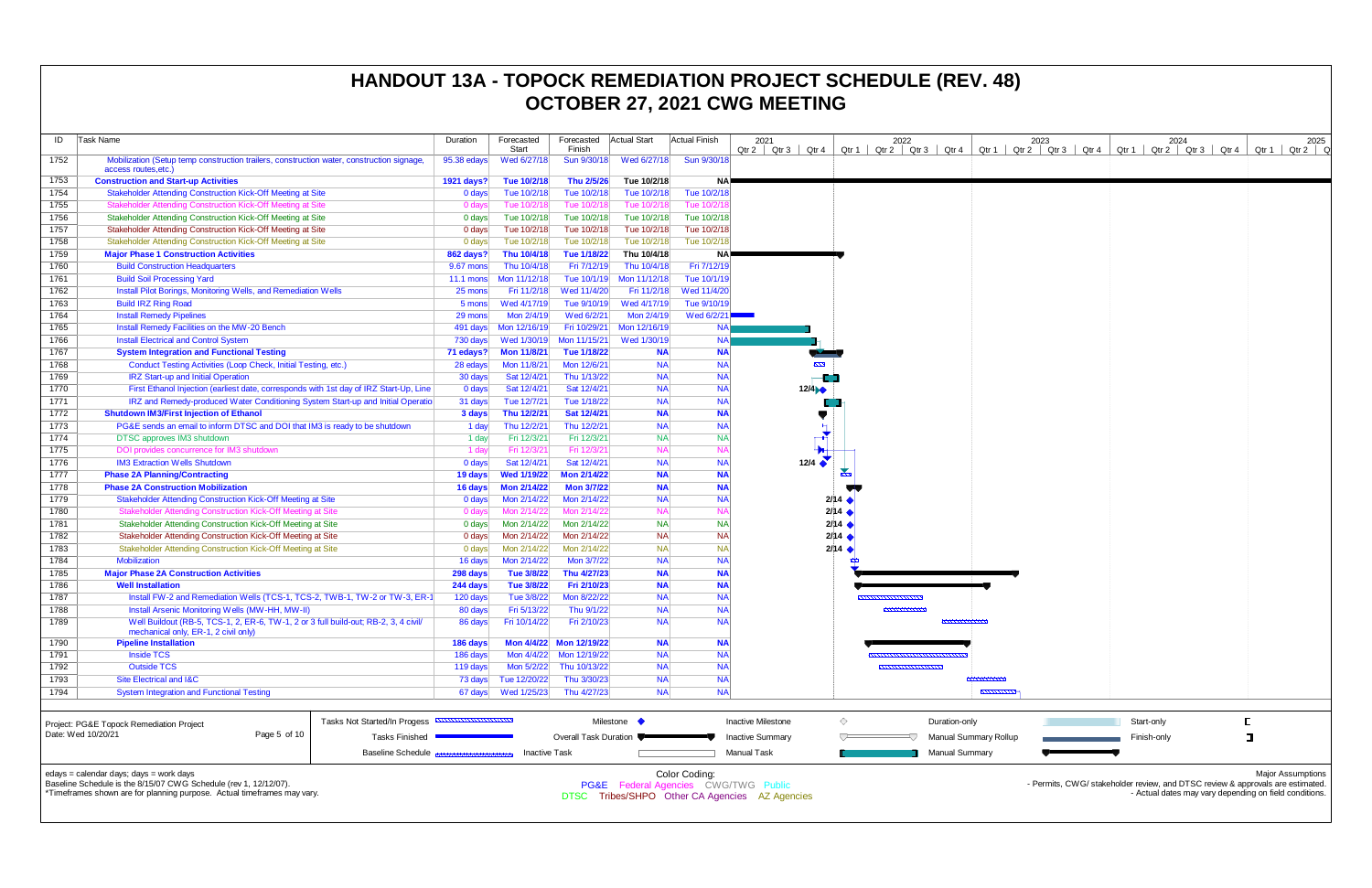| ID   | Task Name                                                                                                                              | Duration                           | Forecasted<br>Start  | Forecasted<br>Finish    | Actual Start | <b>Actual Finish</b> | 2021<br>Qtr 4<br>Qtr 2   Qtr 3 | Qtr 1 $\vert$          | 2022<br>Qtr 2 $\vert$ Qtr 3 $\vert$ Qtr 4 | Qtr $1 \mid C$               |
|------|----------------------------------------------------------------------------------------------------------------------------------------|------------------------------------|----------------------|-------------------------|--------------|----------------------|--------------------------------|------------------------|-------------------------------------------|------------------------------|
| 1752 | Mobilization (Setup temp construction trailers, construction water, construction signage,<br>access routes, etc.                       | 95.38 edays                        | Wed 6/27/18          | Sun 9/30/18             | Wed 6/27/18  | Sun 9/30/18          |                                |                        |                                           |                              |
| 1753 | <b>Construction and Start-up Activities</b>                                                                                            | 1921 days?                         | Tue 10/2/18          | Thu 2/5/26              | Tue 10/2/18  | <b>NA</b>            |                                |                        |                                           |                              |
| 1754 | Stakeholder Attending Construction Kick-Off Meeting at Site                                                                            | 0 days                             | Tue 10/2/18          | Tue 10/2/18             | Tue 10/2/18  | Tue 10/2/18          |                                |                        |                                           |                              |
| 1755 | Stakeholder Attending Construction Kick-Off Meeting at Site                                                                            | 0 days                             | Tue 10/2/18          | Tue 10/2/18             | Tue 10/2/18  | Tue 10/2/18          |                                |                        |                                           |                              |
| 1756 | Stakeholder Attending Construction Kick-Off Meeting at Site                                                                            | 0 days                             | Tue 10/2/18          | Tue 10/2/18             | Tue 10/2/18  | Tue 10/2/18          |                                |                        |                                           |                              |
| 1757 | Stakeholder Attending Construction Kick-Off Meeting at Site                                                                            | 0 days                             | Tue 10/2/18          | Tue 10/2/18             | Tue 10/2/18  | Tue 10/2/18          |                                |                        |                                           |                              |
| 1758 | Stakeholder Attending Construction Kick-Off Meeting at Site                                                                            | 0 days                             | Tue 10/2/18          | Tue 10/2/18             | Tue 10/2/18  | Tue 10/2/18          |                                |                        |                                           |                              |
| 1759 | <b>Major Phase 1 Construction Activities</b>                                                                                           | 862 days?                          | Thu 10/4/18          | Tue 1/18/22             | Thu 10/4/18  | <b>NA</b>            |                                |                        |                                           |                              |
| 1760 | <b>Build Construction Headquarters</b>                                                                                                 | 9.67 mons                          | Thu 10/4/18          | Fri 7/12/19             | Thu 10/4/18  | Fri 7/12/19          |                                |                        |                                           |                              |
| 1761 | <b>Build Soil Processing Yard</b>                                                                                                      | $11.1$ mons                        | Mon 11/12/18         | Tue 10/1/19             | Mon 11/12/18 | Tue 10/1/19          |                                |                        |                                           |                              |
| 1762 | <b>Install Pilot Borings, Monitoring Wells, and Remediation Wells</b>                                                                  | 25 mons                            | Fri 11/2/18          | Wed 11/4/20             | Fri 11/2/18  | Wed 11/4/20          |                                |                        |                                           |                              |
| 1763 | <b>Build IRZ Ring Road</b>                                                                                                             | 5 mons                             | Wed 4/17/19          | Tue 9/10/19             | Wed 4/17/19  | Tue 9/10/19          |                                |                        |                                           |                              |
| 1764 | <b>Install Remedy Pipelines</b>                                                                                                        | 29 mons                            | Mon 2/4/19           | Wed 6/2/21              | Mon 2/4/19   | Wed 6/2/21           |                                |                        |                                           |                              |
| 1765 | Install Remedy Facilities on the MW-20 Bench                                                                                           | 491 days                           | Mon 12/16/19         | Fri 10/29/21            | Mon 12/16/19 | <b>NA</b>            |                                |                        |                                           |                              |
| 1766 | <b>Install Electrical and Control System</b>                                                                                           | 730 days                           | Wed 1/30/19          | Mon 11/15/21            | Wed 1/30/19  | <b>NA</b>            |                                |                        |                                           |                              |
| 1767 | <b>System Integration and Functional Testing</b>                                                                                       | 71 edays?                          | <b>Mon 11/8/21</b>   | Tue 1/18/22             | <b>NA</b>    | <b>NA</b>            |                                |                        |                                           |                              |
| 1768 | Conduct Testing Activities (Loop Check, Initial Testing, etc.)                                                                         | 28 edays                           | Mon 11/8/21          | Mon 12/6/21             | <b>NA</b>    | <b>NA</b>            | $\sim$                         |                        |                                           |                              |
| 1769 | <b>IRZ Start-up and Initial Operation</b>                                                                                              | 30 days                            | Sat 12/4/21          | Thu 1/13/22             | <b>NA</b>    | <b>NA</b>            |                                |                        |                                           |                              |
| 1770 | First Ethanol Injection (earliest date, corresponds with 1st day of IRZ Start-Up, Line                                                 | 0 days                             | Sat 12/4/21          | Sat 12/4/21             | <b>NA</b>    | <b>NA</b>            | 12/4                           |                        |                                           |                              |
| 1771 | IRZ and Remedy-produced Water Conditioning System Start-up and Initial Operatio                                                        | 31 days                            | Tue 12/7/21          | Tue 1/18/22             | <b>NA</b>    | <b>NA</b>            |                                |                        |                                           |                              |
| 1772 | <b>Shutdown IM3/First Injection of Ethanol</b>                                                                                         | 3 days                             | Thu 12/2/21          | Sat 12/4/21             | <b>NA</b>    | <b>NA</b>            |                                |                        |                                           |                              |
| 1773 | PG&E sends an email to inform DTSC and DOI that IM3 is ready to be shutdown                                                            | 1 day                              | Thu 12/2/21          | Thu 12/2/21             | <b>NA</b>    | <b>NA</b>            | Н                              |                        |                                           |                              |
| 1774 | DTSC approves IM3 shutdown                                                                                                             | 1 day                              | Fri 12/3/21          | Fri 12/3/21             | <b>NA</b>    | <b>NA</b>            | -≭                             |                        |                                           |                              |
| 1775 | DOI provides concurrence for IM3 shutdown                                                                                              | 1 day                              | Fri 12/3/21          | Fri 12/3/21             | <b>NA</b>    | <b>NA</b>            | ╄⊢                             |                        |                                           |                              |
| 1776 | <b>IM3 Extraction Wells Shutdown</b>                                                                                                   | 0 days                             | Sat 12/4/21          | Sat 12/4/21             | <b>NA</b>    | <b>NA</b>            | 12/4 $\bullet$                 |                        |                                           |                              |
| 1777 | <b>Phase 2A Planning/Contracting</b>                                                                                                   | 19 days                            | <b>Wed 1/19/22</b>   | <b>Mon 2/14/22</b>      | <b>NA</b>    | <b>NA</b>            |                                | ᅐ                      |                                           |                              |
| 1778 | <b>Phase 2A Construction Mobilization</b>                                                                                              | 16 days                            | <b>Mon 2/14/22</b>   | <b>Mon 3/7/22</b>       | <b>NA</b>    | <b>NA</b>            |                                |                        |                                           |                              |
| 1779 | Stakeholder Attending Construction Kick-Off Meeting at Site                                                                            | 0 days                             | Mon 2/14/22          | Mon 2/14/22             | <b>NA</b>    | <b>NA</b>            |                                | $2/14$ $\blacklozenge$ |                                           |                              |
| 1780 | Stakeholder Attending Construction Kick-Off Meeting at Site                                                                            | 0 days                             | Mon 2/14/22          | Mon 2/14/22             | <b>NA</b>    | <b>NA</b>            |                                | 2/14                   |                                           |                              |
| 1781 | Stakeholder Attending Construction Kick-Off Meeting at Site                                                                            | 0 <sub>days</sub>                  | Mon 2/14/22          | Mon 2/14/22             | <b>NA</b>    | <b>NA</b>            |                                | 2/14                   |                                           |                              |
| 1782 | Stakeholder Attending Construction Kick-Off Meeting at Site                                                                            | 0 days                             | Mon 2/14/22          | Mon 2/14/22             | <b>NA</b>    | <b>NA</b>            |                                | 2/14                   |                                           |                              |
| 1783 | Stakeholder Attending Construction Kick-Off Meeting at Site                                                                            | 0 days                             | Mon 2/14/22          | Mon 2/14/22             | <b>NA</b>    | <b>NA</b>            |                                | 2/14                   |                                           |                              |
| 1784 | <b>Mobilization</b>                                                                                                                    | 16 days                            | Mon 2/14/22          | Mon 3/7/22              | <b>NA</b>    | <b>NA</b>            |                                |                        |                                           |                              |
| 1785 | <b>Major Phase 2A Construction Activities</b>                                                                                          | 298 days                           | Tue 3/8/22           | Thu 4/27/23             | <b>NA</b>    | <b>NA</b>            |                                |                        |                                           |                              |
| 1786 | <b>Well Installation</b>                                                                                                               | 244 days                           | Tue 3/8/22           | Fri 2/10/23             | <b>NA</b>    | <b>NA</b>            |                                |                        |                                           |                              |
| 1787 | Install FW-2 and Remediation Wells (TCS-1, TCS-2, TWB-1, TW-2 or TW-3, ER-1                                                            | 120 days                           | Tue 3/8/22           | Mon 8/22/22             | <b>NA</b>    | <b>NA</b>            |                                |                        | <b><i><u>PARKHAMMANNANN</u></i></b>       |                              |
| 1788 |                                                                                                                                        |                                    | Fri 5/13/22          | Thu 9/1/22              | <b>NA</b>    | <b>NA</b>            |                                |                        | ,,,,,,,,,,,,,,,                           |                              |
| 1789 | Install Arsenic Monitoring Wells (MW-HH, MW-II)<br>Well Buildout (RB-5, TCS-1, 2, ER-6, TW-1, 2 or 3 full build-out; RB-2, 3, 4 civil/ | 80 days<br>86 days                 | Fri 10/14/22         | Fri 2/10/23             | <b>NA</b>    | <b>NA</b>            |                                |                        |                                           | ,,,,,,,,,,,,,,,,             |
|      | mechanical only, ER-1, 2 civil only)                                                                                                   |                                    |                      |                         |              |                      |                                |                        |                                           |                              |
| 1790 | <b>Pipeline Installation</b>                                                                                                           | 186 days                           |                      | Mon 4/4/22 Mon 12/19/22 | <b>NA</b>    | <b>NA</b>            |                                |                        |                                           |                              |
| 1791 | <b>Inside TCS</b>                                                                                                                      | 186 days                           | Mon 4/4/22           | Mon 12/19/22            | <b>NA</b>    | <b>NA</b>            |                                |                        |                                           |                              |
| 1792 | <b>Outside TCS</b>                                                                                                                     | 119 days                           | Mon 5/2/22           | Thu 10/13/22            | <b>NA</b>    | <b>NA</b>            |                                |                        | ,,,,,,,,,,,,,,,,,,,,,                     |                              |
| 1793 | Site Electrical and I&C                                                                                                                | 73 days                            | Tue 12/20/22         | Thu 3/30/23             | <b>NA</b>    | <b>NA</b>            |                                |                        |                                           | ,,,,,,,,,,,,,,,              |
| 1794 | <b>System Integration and Functional Testing</b>                                                                                       | 67 days                            | Wed 1/25/23          | Thu 4/27/23             | <b>NA</b>    | <b>NA</b>            |                                |                        |                                           |                              |
|      |                                                                                                                                        |                                    |                      |                         |              |                      |                                |                        |                                           |                              |
|      | Tasks Not Started/In Progess<br>Project: PG&E Topock Remediation Project                                                               | <b>MUNICIPALITY (MUNICIPALITY)</b> |                      |                         | Milestone •  |                      | <b>Inactive Milestone</b>      | ♦                      |                                           | Duration-only                |
|      | Date: Wed 10/20/21<br>Page 5 of 10<br><b>Tasks Finished</b>                                                                            |                                    |                      | Overall Task Duration   |              |                      | <b>Inactive Summary</b>        |                        |                                           | <b>Manual Summary Rollup</b> |
|      | <b>Baseline Schedule</b>                                                                                                               |                                    | <b>Inactive Task</b> |                         |              |                      | Manual Task                    |                        |                                           | Manual Summary               |

| 2021                               |                                | 2022                    |                        |                       | 2023  |                           |       | 2024            |                                                                                                     | 2025  |
|------------------------------------|--------------------------------|-------------------------|------------------------|-----------------------|-------|---------------------------|-------|-----------------|-----------------------------------------------------------------------------------------------------|-------|
| Qtr <sub>3</sub><br>Qtr 4<br>Qtr 2 | Qtr 1                          | Qtr <sub>2</sub>        | Qtr <sub>3</sub>       | Qtr 4<br>Qtr 1        | Qtr 2 | Qtr <sub>3</sub><br>Qtr 4 | Qtr 1 | $Qtr 2$ $Qtr 3$ | Qtr 4<br>Qtr 1                                                                                      | Qtr 2 |
|                                    |                                |                         |                        |                       |       |                           |       |                 |                                                                                                     |       |
|                                    |                                |                         |                        |                       |       |                           |       |                 |                                                                                                     |       |
|                                    |                                |                         |                        |                       |       |                           |       |                 |                                                                                                     |       |
|                                    |                                |                         |                        |                       |       |                           |       |                 |                                                                                                     |       |
|                                    |                                |                         |                        |                       |       |                           |       |                 |                                                                                                     |       |
|                                    |                                |                         |                        |                       |       |                           |       |                 |                                                                                                     |       |
|                                    |                                |                         |                        |                       |       |                           |       |                 |                                                                                                     |       |
|                                    |                                |                         |                        |                       |       |                           |       |                 |                                                                                                     |       |
|                                    |                                |                         |                        |                       |       |                           |       |                 |                                                                                                     |       |
|                                    |                                |                         |                        |                       |       |                           |       |                 |                                                                                                     |       |
|                                    |                                |                         |                        |                       |       |                           |       |                 |                                                                                                     |       |
|                                    |                                |                         |                        |                       |       |                           |       |                 |                                                                                                     |       |
| Į                                  |                                |                         |                        |                       |       |                           |       |                 |                                                                                                     |       |
| 12/4                               |                                |                         |                        |                       |       |                           |       |                 |                                                                                                     |       |
|                                    |                                |                         |                        |                       |       |                           |       |                 |                                                                                                     |       |
|                                    |                                |                         |                        |                       |       |                           |       |                 |                                                                                                     |       |
|                                    |                                |                         |                        |                       |       |                           |       |                 |                                                                                                     |       |
|                                    |                                |                         |                        |                       |       |                           |       |                 |                                                                                                     |       |
| 12/4 $\bullet$                     |                                |                         |                        |                       |       |                           |       |                 |                                                                                                     |       |
|                                    | $\frac{1}{2}$                  |                         |                        |                       |       |                           |       |                 |                                                                                                     |       |
|                                    | 2/14                           |                         |                        |                       |       |                           |       |                 |                                                                                                     |       |
|                                    | $2/14$ $\triangleleft$         |                         |                        |                       |       |                           |       |                 |                                                                                                     |       |
|                                    | $2/14$ $\triangleleft$<br>2/14 |                         |                        |                       |       |                           |       |                 |                                                                                                     |       |
|                                    | 2/14                           |                         |                        |                       |       |                           |       |                 |                                                                                                     |       |
|                                    |                                |                         |                        |                       |       |                           |       |                 |                                                                                                     |       |
|                                    |                                |                         |                        |                       |       |                           |       |                 |                                                                                                     |       |
|                                    |                                | ,,,,,,,,,,,,,,,,,,,,,,, |                        |                       |       |                           |       |                 |                                                                                                     |       |
|                                    |                                | ,,,,,,,,,,,,,,,         |                        |                       |       |                           |       |                 |                                                                                                     |       |
|                                    |                                |                         |                        |                       |       |                           |       |                 |                                                                                                     |       |
|                                    |                                |                         |                        |                       |       |                           |       |                 |                                                                                                     |       |
|                                    |                                |                         | ,,,,,,,,,,,,,,,,,,,,,, |                       |       |                           |       |                 |                                                                                                     |       |
|                                    |                                |                         |                        |                       |       |                           |       |                 |                                                                                                     |       |
|                                    |                                |                         |                        | $\frac{1}{2}$         |       |                           |       |                 |                                                                                                     |       |
| ctive Milestone                    | $\diamondsuit$                 |                         |                        | Duration-only         |       |                           |       | Start-only      | $\mathsf{L}% _{0}\left( \mathsf{L}_{0}\right) ^{T}=\mathsf{L}_{0}\left( \mathsf{L}_{0}\right) ^{T}$ |       |
| ctive Summary                      | ∪                              |                         |                        | Manual Summary Rollup |       |                           |       | Finish-only     | $\mathbf I$                                                                                         |       |
| nual Task                          |                                |                         |                        | Manual Summary        |       |                           |       |                 |                                                                                                     |       |
|                                    |                                |                         |                        |                       |       |                           |       |                 |                                                                                                     |       |

edays = calendar days; days = work days

Baseline Schedule is the 8/15/07 CWG Schedule (rev 1, 12/12/07).

\*Timeframes shown are for planning purpose. Actual timeframes may vary.

Color Coding:

PG&E Federal Agencies CWG/TWG Public

DTSC Tribes/SHPO Other CA Agencies AZ Agencies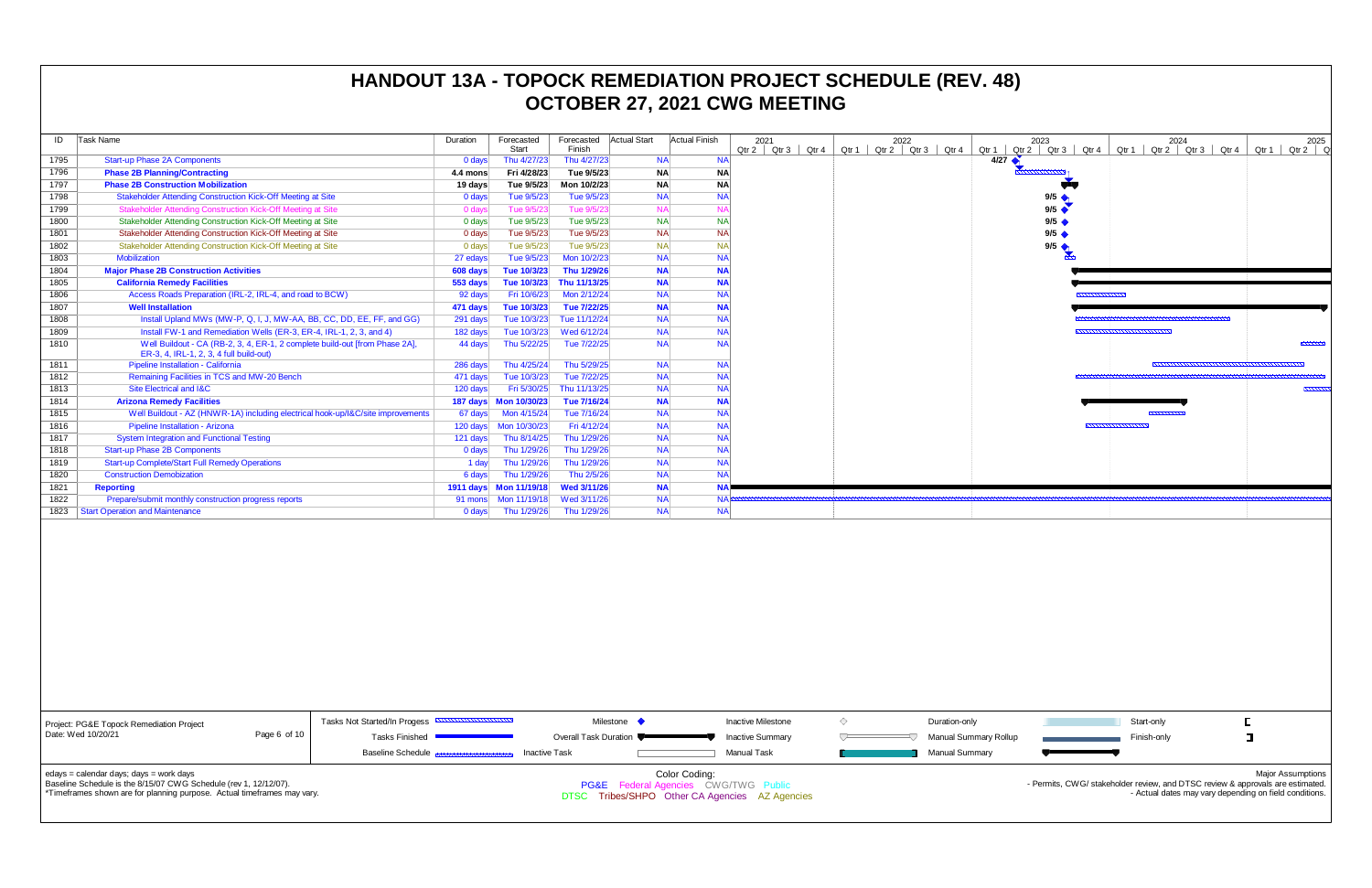| ID   | Task Name                                                                                                              | Duration    | Forecasted<br><b>Start</b> | Forecasted<br>Finish | <b>Actual Start</b> | Actual Finish | 2021<br>Qtr 2   Qtr 3 | Qtr 4 | 2022<br>$Qtr 2$ $Qtr 3$ $Qtr 4$<br>Qtr 1 $\vert$ |               |
|------|------------------------------------------------------------------------------------------------------------------------|-------------|----------------------------|----------------------|---------------------|---------------|-----------------------|-------|--------------------------------------------------|---------------|
| 1795 | <b>Start-up Phase 2A Components</b>                                                                                    | $0$ days    | Thu 4/27/23                | Thu 4/27/23          | <b>NA</b>           | <b>NA</b>     |                       |       |                                                  | Qtr 1<br>4/27 |
| 1796 | <b>Phase 2B Planning/Contracting</b>                                                                                   | 4.4 mons    | Fri 4/28/23                | Tue 9/5/23           | <b>NA</b>           | <b>NA</b>     |                       |       |                                                  |               |
| 1797 | <b>Phase 2B Construction Mobilization</b>                                                                              | 19 days     | Tue 9/5/23                 | Mon 10/2/23          | <b>NA</b>           | <b>NA</b>     |                       |       |                                                  |               |
| 1798 | Stakeholder Attending Construction Kick-Off Meeting at Site                                                            | 0 days      | Tue 9/5/23                 | Tue 9/5/23           | <b>NA</b>           | <b>NA</b>     |                       |       |                                                  |               |
| 1799 | Stakeholder Attending Construction Kick-Off Meeting at Site                                                            | 0 days      | Tue 9/5/23                 | Tue 9/5/23           | <b>NA</b>           | <b>NA</b>     |                       |       |                                                  |               |
| 1800 | Stakeholder Attending Construction Kick-Off Meeting at Site                                                            | 0 days      | Tue 9/5/23                 | Tue 9/5/23           | <b>NA</b>           | <b>NA</b>     |                       |       |                                                  |               |
| 1801 | Stakeholder Attending Construction Kick-Off Meeting at Site                                                            | 0 days      | Tue 9/5/23                 | Tue 9/5/23           | <b>NA</b>           | <b>NA</b>     |                       |       |                                                  |               |
| 1802 | Stakeholder Attending Construction Kick-Off Meeting at Site                                                            | 0 days      | Tue 9/5/23                 | Tue 9/5/23           | <b>NA</b>           | <b>NA</b>     |                       |       |                                                  |               |
| 1803 | <b>Mobilization</b>                                                                                                    | 27 edays    | Tue 9/5/23                 | Mon 10/2/23          | <b>NA</b>           | <b>NA</b>     |                       |       |                                                  |               |
| 1804 | <b>Major Phase 2B Construction Activities</b>                                                                          | 608 days    | Tue 10/3/23                | Thu 1/29/26          | <b>NA</b>           | <b>NA</b>     |                       |       |                                                  |               |
| 1805 | <b>California Remedy Facilities</b>                                                                                    | 553 days    | Tue 10/3/23                | Thu 11/13/25         | <b>NA</b>           | <b>NA</b>     |                       |       |                                                  |               |
| 1806 | Access Roads Preparation (IRL-2, IRL-4, and road to BCW)                                                               | 92 days     | Fri 10/6/23                | Mon 2/12/24          | <b>NA</b>           | <b>NA</b>     |                       |       |                                                  |               |
| 1807 | <b>Well Installation</b>                                                                                               | 471 days    | Tue 10/3/23                | Tue 7/22/25          | <b>NA</b>           | <b>NA</b>     |                       |       |                                                  |               |
| 1808 | Install Upland MWs (MW-P, Q, I, J, MW-AA, BB, CC, DD, EE, FF, and GG)                                                  | 291 days    | Tue 10/3/23                | Tue 11/12/24         | <b>NA</b>           | <b>NA</b>     |                       |       |                                                  |               |
| 1809 | Install FW-1 and Remediation Wells (ER-3, ER-4, IRL-1, 2, 3, and 4)                                                    | 182 days    | Tue 10/3/23                | Wed 6/12/24          | <b>NA</b>           | <b>NA</b>     |                       |       |                                                  |               |
| 1810 | Well Buildout - CA (RB-2, 3, 4, ER-1, 2 complete build-out [from Phase 2A],<br>ER-3, 4, IRL-1, 2, 3, 4 full build-out) | 44 days     | Thu 5/22/25                | Tue 7/22/25          | <b>NA</b>           | <b>NA</b>     |                       |       |                                                  |               |
| 1811 | Pipeline Installation - California                                                                                     | 286 days    | Thu 4/25/24                | Thu 5/29/25          | <b>NA</b>           | <b>NA</b>     |                       |       |                                                  |               |
| 1812 | Remaining Facilities in TCS and MW-20 Bench                                                                            | 471 days    | Tue 10/3/23                | Tue 7/22/25          | <b>NA</b>           | <b>NA</b>     |                       |       |                                                  |               |
| 1813 | Site Electrical and I&C                                                                                                | 120 days    | Fri 5/30/25                | Thu 11/13/25         | <b>NA</b>           | <b>NA</b>     |                       |       |                                                  |               |
| 1814 | <b>Arizona Remedy Facilities</b>                                                                                       |             | 187 days  Mon 10/30/23     | Tue 7/16/24          | <b>NA</b>           | <b>NA</b>     |                       |       |                                                  |               |
| 1815 | Well Buildout - AZ (HNWR-1A) including electrical hook-up/l&C/site improvements                                        | 67 days     | Mon 4/15/24                | Tue 7/16/24          | <b>NA</b>           | <b>NA</b>     |                       |       |                                                  |               |
| 1816 | Pipeline Installation - Arizona                                                                                        | 120 days    | Mon 10/30/23               | Fri 4/12/24          | <b>NA</b>           | <b>NA</b>     |                       |       |                                                  |               |
| 1817 | <b>System Integration and Functional Testing</b>                                                                       | 121 days    | Thu 8/14/25                | Thu 1/29/26          | <b>NA</b>           | <b>NA</b>     |                       |       |                                                  |               |
| 1818 | <b>Start-up Phase 2B Components</b>                                                                                    | 0 days      | Thu 1/29/26                | Thu 1/29/26          | <b>NA</b>           | <b>NA</b>     |                       |       |                                                  |               |
| 1819 | <b>Start-up Complete/Start Full Remedy Operations</b>                                                                  | 1 day       | Thu 1/29/26                | Thu 1/29/26          | <b>NA</b>           | <b>NA</b>     |                       |       |                                                  |               |
| 1820 | <b>Construction Demobization</b>                                                                                       | 6 days      | Thu 1/29/26                | Thu 2/5/26           | <b>NA</b>           | <b>NA</b>     |                       |       |                                                  |               |
| 1821 | <b>Reporting</b>                                                                                                       | $1911$ days | Mon 11/19/18               | <b>Wed 3/11/26</b>   | <b>NA</b>           | <b>NA</b>     |                       |       |                                                  |               |
| 1822 | Prepare/submit monthly construction progress reports                                                                   | 91 mons     | Mon 11/19/18               | Wed 3/11/26          | <b>NA</b>           | NA            |                       |       |                                                  |               |
| 1823 | <b>Start Operation and Maintenance</b>                                                                                 | $0$ days    | Thu 1/29/26                | Thu 1/29/26          | <b>NA</b>           | <b>NA</b>     |                       |       |                                                  |               |



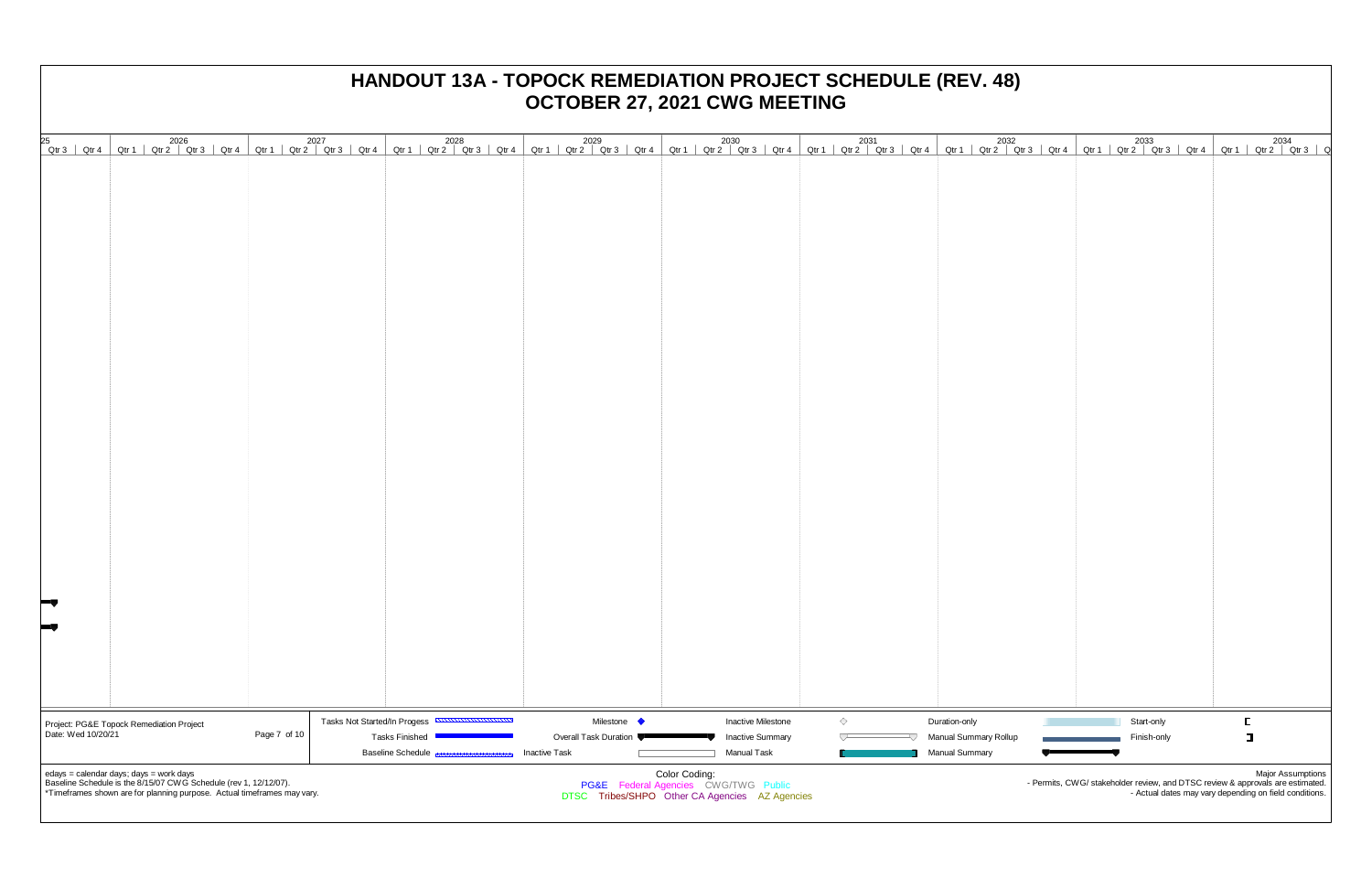# **OCTOBER 27, 2021 CWG MEETING** 2025 2026 2027 2028 2029 2030 2031 2032 2033 2034 Qtr3 | Qtr4 | Qtr1 | Qtr2 | Qtr3 | Qtr4 | Qtr1 | Qtr2 | Qtr3 | Qtr4 | Qtr1 | Qtr2 | Qtr3 | Qtr4 | Qtr1 | Qtr2 | Qtr3 | Qtr4 | Qtr1 | Qtr2 | Qtr3 | Qtr4 | Qtr1 | Qtr2 | Qtr3 | Qtr4 | Qtr1 | Qtr2 | Qtr3 | Qtr4 | Qtr1 | Qtr2  $\diamondsuit$ Tasks Not Started/In Progess Milestone  $\blacklozenge$ Inactive Milestone Duration-only Project: PG&E Topock Remediation Project Date: Wed 10/20/21 Page 7 of 10  $\begin{array}{c} \nabla \cdot \mathbf{r} \quad \text{and} \quad \mathbf{r} \quad \text{and} \quad \mathbf{r} \quad \text{and} \quad \mathbf{r} \quad \text{and} \quad \mathbf{r} \quad \text{and} \quad \mathbf{r} \quad \text{and} \quad \mathbf{r} \quad \text{and} \quad \mathbf{r} \quad \text{and} \quad \mathbf{r} \quad \text{and} \quad \mathbf{r} \quad \text{and} \quad \mathbf{r} \quad \text{and} \quad \mathbf{r} \quad \text{and} \quad \mathbf{r} \quad \text{and} \quad \mathbf{r} \quad \text{and$ Manual Summary Roll Tasks Finished Overall Task Duration Inactive Summary  $\bigtriangledown$ Manual Task Baseline Schedule Inactive Task Manual Summary **The Contract COL** edays = calendar days; days = work days Color Coding: Baseline Schedule is the 8/15/07 CWG Schedule (rev 1, 12/12/07). PG&E Federal Agencies CWG/TWG Public \*Timeframes shown are for planning purpose. Actual timeframes may vary. DTSC Tribes/SHPO Other CA Agencies AZ Agencies

# **HANDOUT 13A - TOPOCK REMEDIATION PROJECT SCHEDULE (REV. 48)**

| 32               |       |       | 2033                    |                                                                                                     |                    | 2034             |                |
|------------------|-------|-------|-------------------------|-----------------------------------------------------------------------------------------------------|--------------------|------------------|----------------|
| Qtr <sub>3</sub> | Qtr 4 | Qtr 1 | $Qtr 2$ $Qtr 3$ $Qtr 4$ |                                                                                                     | Qtr $1 \mid$ Qtr 2 | Qtr <sub>3</sub> | $\overline{Q}$ |
|                  |       |       |                         |                                                                                                     |                    |                  |                |
|                  |       |       |                         |                                                                                                     |                    |                  |                |
|                  |       |       |                         |                                                                                                     |                    |                  |                |
|                  |       |       |                         |                                                                                                     |                    |                  |                |
|                  |       |       |                         |                                                                                                     |                    |                  |                |
|                  |       |       |                         |                                                                                                     |                    |                  |                |
|                  |       |       |                         |                                                                                                     |                    |                  |                |
|                  |       |       |                         |                                                                                                     |                    |                  |                |
|                  |       |       |                         |                                                                                                     |                    |                  |                |
|                  |       |       |                         |                                                                                                     |                    |                  |                |
|                  |       |       |                         |                                                                                                     |                    |                  |                |
|                  |       |       |                         |                                                                                                     |                    |                  |                |
|                  |       |       |                         |                                                                                                     |                    |                  |                |
|                  |       |       |                         |                                                                                                     |                    |                  |                |
|                  |       |       |                         |                                                                                                     |                    |                  |                |
|                  |       |       |                         |                                                                                                     |                    |                  |                |
|                  |       |       |                         |                                                                                                     |                    |                  |                |
|                  |       |       |                         |                                                                                                     |                    |                  |                |
|                  |       |       |                         |                                                                                                     |                    |                  |                |
|                  |       |       |                         |                                                                                                     |                    |                  |                |
|                  |       |       |                         |                                                                                                     |                    |                  |                |
|                  |       |       |                         |                                                                                                     |                    |                  |                |
|                  |       |       |                         |                                                                                                     |                    |                  |                |
|                  |       |       |                         |                                                                                                     |                    |                  |                |
|                  |       |       |                         |                                                                                                     |                    |                  |                |
|                  |       |       |                         |                                                                                                     |                    |                  |                |
|                  |       |       |                         |                                                                                                     |                    |                  |                |
|                  |       |       |                         |                                                                                                     |                    |                  |                |
|                  |       |       |                         |                                                                                                     |                    |                  |                |
|                  |       |       |                         |                                                                                                     |                    |                  |                |
|                  |       |       |                         |                                                                                                     |                    |                  |                |
|                  |       |       |                         |                                                                                                     |                    |                  |                |
|                  |       |       |                         |                                                                                                     |                    |                  |                |
|                  |       |       |                         |                                                                                                     |                    |                  |                |
|                  |       |       |                         |                                                                                                     |                    |                  |                |
|                  |       |       | Start-only              |                                                                                                     | E                  |                  |                |
| lup              |       |       | Finish-only             |                                                                                                     | $\Box$             |                  |                |
|                  |       |       |                         |                                                                                                     |                    |                  |                |
|                  |       |       |                         |                                                                                                     |                    |                  |                |
|                  |       |       |                         | Major Assumptions<br>- Permits, CWG/ stakeholder review, and DTSC review & approvals are estimated. |                    |                  |                |
|                  |       |       |                         | - Actual dates may vary depending on field conditions.                                              |                    |                  |                |
|                  |       |       |                         |                                                                                                     |                    |                  |                |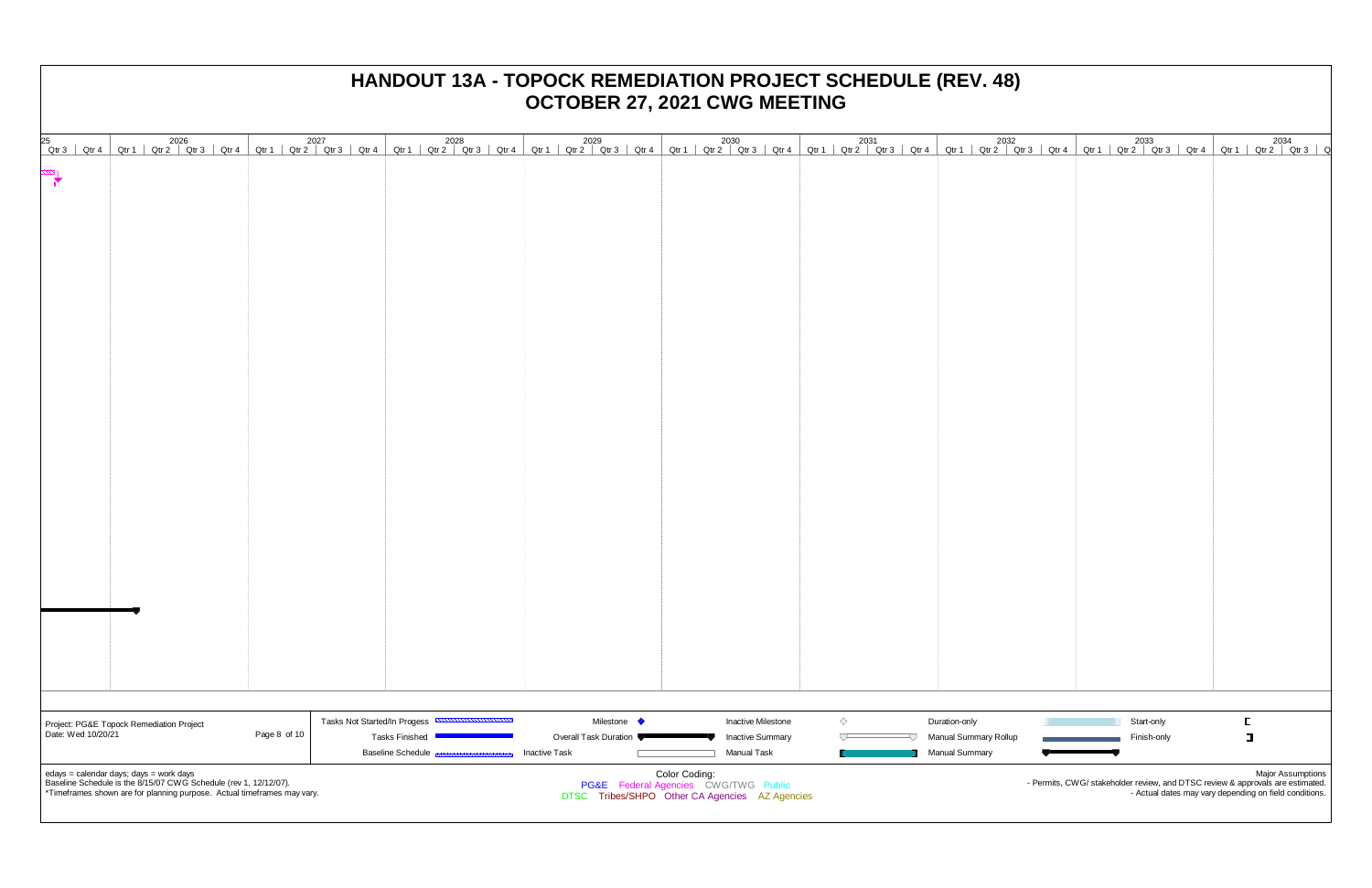| 25                   | 2026 2034 2031 2032 2033 2034 2026 2027 2028 2030 2031 2032 2032 2032 2033 2034 2011 2017 2029 2031 2032 2033<br>  Qtr3   Qtr1   Qtr2   Qtr3   Qtr4   Qtr1   Qtr2   Qtr4   Qtr1   Qtr2   Qtr3   Qtr4   Qtr1   Qtr2   Qtr3   Qtr4 |                      |                                                                        |                      |                                                |               |                                                      |            |                                               |                           |                                                                                                            |
|----------------------|----------------------------------------------------------------------------------------------------------------------------------------------------------------------------------------------------------------------------------|----------------------|------------------------------------------------------------------------|----------------------|------------------------------------------------|---------------|------------------------------------------------------|------------|-----------------------------------------------|---------------------------|------------------------------------------------------------------------------------------------------------|
| $\frac{1}{\sqrt{2}}$ |                                                                                                                                                                                                                                  |                      |                                                                        |                      |                                                |               |                                                      |            |                                               |                           |                                                                                                            |
|                      |                                                                                                                                                                                                                                  |                      |                                                                        |                      |                                                |               |                                                      |            |                                               |                           |                                                                                                            |
|                      |                                                                                                                                                                                                                                  |                      |                                                                        |                      |                                                |               |                                                      |            |                                               |                           |                                                                                                            |
|                      |                                                                                                                                                                                                                                  |                      |                                                                        |                      |                                                |               |                                                      |            |                                               |                           |                                                                                                            |
|                      |                                                                                                                                                                                                                                  |                      |                                                                        |                      |                                                |               |                                                      |            |                                               |                           |                                                                                                            |
|                      |                                                                                                                                                                                                                                  |                      |                                                                        |                      |                                                |               |                                                      |            |                                               |                           |                                                                                                            |
|                      |                                                                                                                                                                                                                                  |                      |                                                                        |                      |                                                |               |                                                      |            |                                               |                           |                                                                                                            |
|                      |                                                                                                                                                                                                                                  |                      |                                                                        |                      |                                                |               |                                                      |            |                                               |                           |                                                                                                            |
|                      |                                                                                                                                                                                                                                  |                      |                                                                        |                      |                                                |               |                                                      |            |                                               |                           |                                                                                                            |
|                      |                                                                                                                                                                                                                                  |                      |                                                                        |                      |                                                |               |                                                      |            |                                               |                           |                                                                                                            |
|                      |                                                                                                                                                                                                                                  |                      |                                                                        |                      |                                                |               |                                                      |            |                                               |                           |                                                                                                            |
|                      |                                                                                                                                                                                                                                  |                      |                                                                        |                      |                                                |               |                                                      |            |                                               |                           |                                                                                                            |
|                      |                                                                                                                                                                                                                                  |                      |                                                                        |                      |                                                |               |                                                      |            |                                               |                           |                                                                                                            |
|                      |                                                                                                                                                                                                                                  |                      |                                                                        |                      |                                                |               |                                                      |            |                                               |                           |                                                                                                            |
|                      |                                                                                                                                                                                                                                  |                      |                                                                        |                      |                                                |               |                                                      |            |                                               |                           |                                                                                                            |
|                      |                                                                                                                                                                                                                                  |                      |                                                                        |                      |                                                |               |                                                      |            |                                               |                           |                                                                                                            |
|                      |                                                                                                                                                                                                                                  |                      |                                                                        |                      |                                                |               |                                                      |            |                                               |                           |                                                                                                            |
|                      |                                                                                                                                                                                                                                  |                      |                                                                        |                      |                                                |               |                                                      |            |                                               |                           |                                                                                                            |
|                      |                                                                                                                                                                                                                                  |                      |                                                                        |                      |                                                |               |                                                      |            |                                               |                           |                                                                                                            |
|                      |                                                                                                                                                                                                                                  |                      |                                                                        |                      |                                                |               |                                                      |            |                                               |                           |                                                                                                            |
|                      |                                                                                                                                                                                                                                  |                      |                                                                        |                      |                                                |               |                                                      |            |                                               |                           |                                                                                                            |
|                      |                                                                                                                                                                                                                                  |                      |                                                                        |                      |                                                |               |                                                      |            |                                               |                           |                                                                                                            |
|                      |                                                                                                                                                                                                                                  |                      |                                                                        |                      |                                                |               |                                                      |            |                                               |                           |                                                                                                            |
|                      |                                                                                                                                                                                                                                  |                      |                                                                        |                      |                                                |               |                                                      |            |                                               |                           |                                                                                                            |
|                      |                                                                                                                                                                                                                                  |                      |                                                                        |                      |                                                |               |                                                      |            |                                               |                           |                                                                                                            |
|                      |                                                                                                                                                                                                                                  |                      |                                                                        |                      |                                                |               |                                                      |            |                                               |                           |                                                                                                            |
|                      |                                                                                                                                                                                                                                  |                      |                                                                        |                      |                                                |               |                                                      |            |                                               |                           |                                                                                                            |
|                      |                                                                                                                                                                                                                                  |                      |                                                                        |                      |                                                |               |                                                      |            |                                               |                           |                                                                                                            |
| Date: Wed 10/20/21   | Project: PG&E Topock Remediation Project                                                                                                                                                                                         | Page 8 of 10 $\vert$ | Tasks Not Started/In Progess <b>CONTROLLIANTICON</b><br>Tasks Finished |                      | Milestone •<br>Overall Task Duration           |               | <b>Inactive Milestone</b><br><b>Inactive Summary</b> | $\Diamond$ | Duration-only<br><b>Manual Summary Rollup</b> | Start-only<br>Finish-only | E.<br>$\Box$                                                                                               |
|                      |                                                                                                                                                                                                                                  |                      | <b>Baseline Schedule</b> Bassage                                       | <b>Inactive Task</b> |                                                |               | Manual Task                                          |            | Manual Summary                                |                           |                                                                                                            |
|                      | edays = calendar days; days = work days<br>Baseline Schedule is the 8/15/07 CWG Schedule (rev 1, 12/12/07).                                                                                                                      |                      |                                                                        |                      | PG&E Federal Agencies CWG/TWG Public           | Color Coding: |                                                      |            |                                               |                           | <b>Major Assumptions</b><br>- Permits, CWG/ stakeholder review, and DTSC review & approvals are estimated. |
|                      | *Timeframes shown are for planning purpose. Actual timeframes may vary.                                                                                                                                                          |                      |                                                                        |                      | DTSC Tribes/SHPO Other CA Agencies AZ Agencies |               |                                                      |            |                                               |                           | - Actual dates may vary depending on field conditions.                                                     |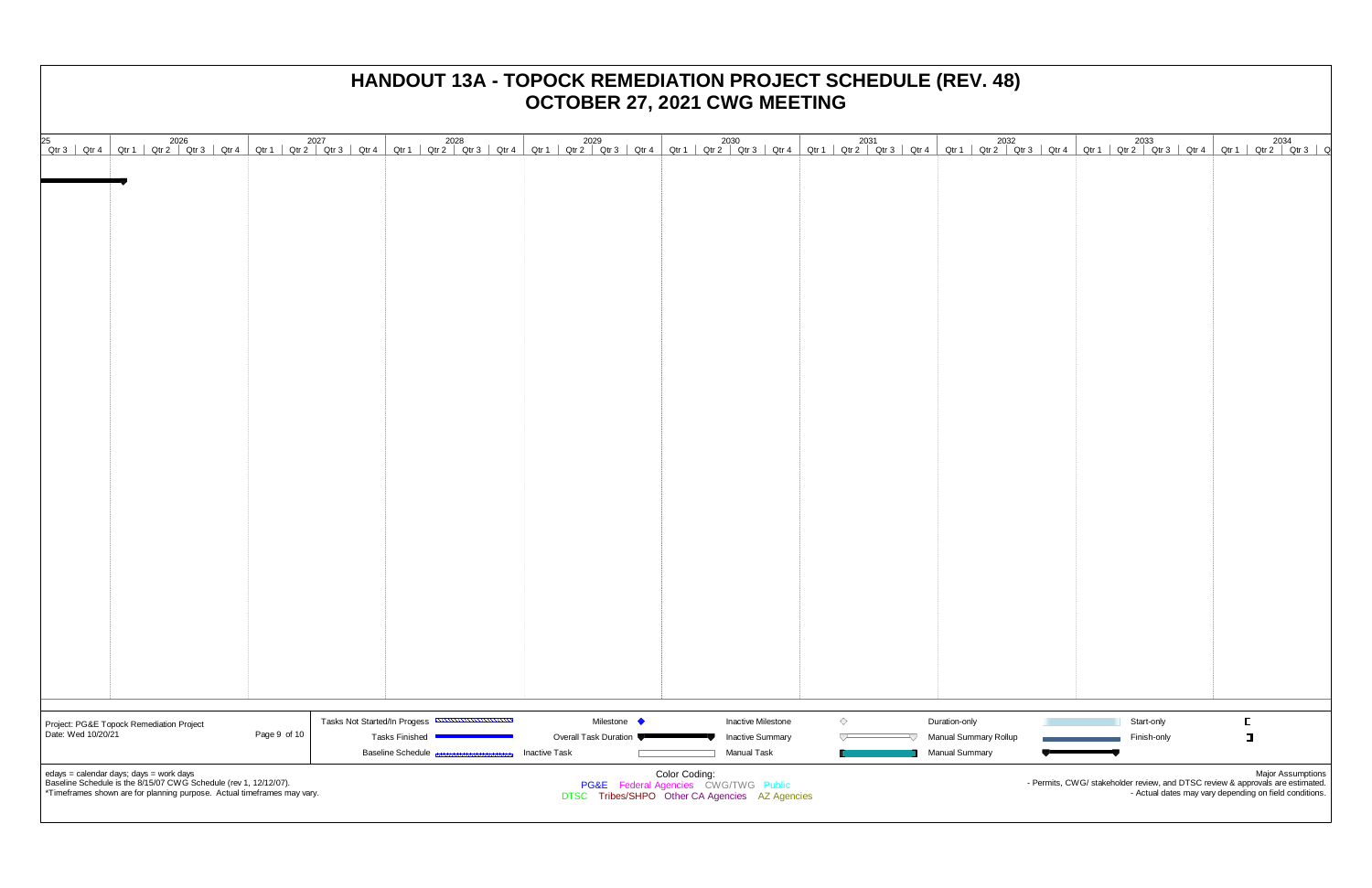| 25                 |                                                                                                                                             |              |                                                      | 2026 2026 2027 2028 2028 2029 2030 2031 2031 2032 2032 2033 2034 2011 Qtr2 Qtr3  Qtr4 Qtr1  Qtr2  Qtr3  Qtr4 Qtr1  Qtr2  Qtr3  Qtr4 Qtr1  Qtr2  Qtr3  Qtr4 Qtr1  Qtr2  Qtr3  Qtr4 Qtr1  Qtr2  Qtr3  Qtr4 Qtr1  Qtr2  Qtr3  Qt |                                                |            |                                                |             |                                                                                                                                          |
|--------------------|---------------------------------------------------------------------------------------------------------------------------------------------|--------------|------------------------------------------------------|-------------------------------------------------------------------------------------------------------------------------------------------------------------------------------------------------------------------------------|------------------------------------------------|------------|------------------------------------------------|-------------|------------------------------------------------------------------------------------------------------------------------------------------|
|                    |                                                                                                                                             |              |                                                      |                                                                                                                                                                                                                               |                                                |            |                                                |             |                                                                                                                                          |
|                    |                                                                                                                                             |              |                                                      |                                                                                                                                                                                                                               |                                                |            |                                                |             |                                                                                                                                          |
|                    |                                                                                                                                             |              |                                                      |                                                                                                                                                                                                                               |                                                |            |                                                |             |                                                                                                                                          |
|                    |                                                                                                                                             |              |                                                      |                                                                                                                                                                                                                               |                                                |            |                                                |             |                                                                                                                                          |
|                    |                                                                                                                                             |              |                                                      |                                                                                                                                                                                                                               |                                                |            |                                                |             |                                                                                                                                          |
|                    |                                                                                                                                             |              |                                                      |                                                                                                                                                                                                                               |                                                |            |                                                |             |                                                                                                                                          |
|                    |                                                                                                                                             |              |                                                      |                                                                                                                                                                                                                               |                                                |            |                                                |             |                                                                                                                                          |
|                    |                                                                                                                                             |              |                                                      |                                                                                                                                                                                                                               |                                                |            |                                                |             |                                                                                                                                          |
|                    |                                                                                                                                             |              |                                                      |                                                                                                                                                                                                                               |                                                |            |                                                |             |                                                                                                                                          |
|                    |                                                                                                                                             |              |                                                      |                                                                                                                                                                                                                               |                                                |            |                                                |             |                                                                                                                                          |
|                    |                                                                                                                                             |              |                                                      |                                                                                                                                                                                                                               |                                                |            |                                                |             |                                                                                                                                          |
|                    |                                                                                                                                             |              |                                                      |                                                                                                                                                                                                                               |                                                |            |                                                |             |                                                                                                                                          |
|                    |                                                                                                                                             |              |                                                      |                                                                                                                                                                                                                               |                                                |            |                                                |             |                                                                                                                                          |
|                    |                                                                                                                                             |              |                                                      |                                                                                                                                                                                                                               |                                                |            |                                                |             |                                                                                                                                          |
|                    |                                                                                                                                             |              |                                                      |                                                                                                                                                                                                                               |                                                |            |                                                |             |                                                                                                                                          |
|                    |                                                                                                                                             |              |                                                      |                                                                                                                                                                                                                               |                                                |            |                                                |             |                                                                                                                                          |
|                    |                                                                                                                                             |              |                                                      |                                                                                                                                                                                                                               |                                                |            |                                                |             |                                                                                                                                          |
|                    |                                                                                                                                             |              |                                                      |                                                                                                                                                                                                                               |                                                |            |                                                |             |                                                                                                                                          |
|                    |                                                                                                                                             |              |                                                      |                                                                                                                                                                                                                               |                                                |            |                                                |             |                                                                                                                                          |
|                    |                                                                                                                                             |              |                                                      |                                                                                                                                                                                                                               |                                                |            |                                                |             |                                                                                                                                          |
|                    |                                                                                                                                             |              |                                                      |                                                                                                                                                                                                                               |                                                |            |                                                |             |                                                                                                                                          |
|                    |                                                                                                                                             |              |                                                      |                                                                                                                                                                                                                               |                                                |            |                                                |             |                                                                                                                                          |
|                    |                                                                                                                                             |              |                                                      |                                                                                                                                                                                                                               |                                                |            |                                                |             |                                                                                                                                          |
|                    |                                                                                                                                             |              |                                                      |                                                                                                                                                                                                                               |                                                |            |                                                |             |                                                                                                                                          |
|                    |                                                                                                                                             |              |                                                      |                                                                                                                                                                                                                               |                                                |            |                                                |             |                                                                                                                                          |
|                    |                                                                                                                                             |              |                                                      |                                                                                                                                                                                                                               |                                                |            |                                                |             |                                                                                                                                          |
|                    |                                                                                                                                             |              |                                                      |                                                                                                                                                                                                                               |                                                |            |                                                |             |                                                                                                                                          |
|                    | Project: PG&E Topock Remediation Project                                                                                                    |              | Tasks Not Started/In Progess <b>CONTROLLIANTICON</b> | Milestone •                                                                                                                                                                                                                   | <b>Inactive Milestone</b>                      | $\Diamond$ | Duration-only                                  | Start-only  |                                                                                                                                          |
| Date: Wed 10/20/21 |                                                                                                                                             | Page 9 of 10 | <b>Tasks Finished</b><br>Baseline Schedule Bassage   | Overall Task Duration<br><b>Inactive Task</b>                                                                                                                                                                                 | <b>Inactive Summary</b><br>Manual Task         | ▽<br>V     | Manual Summary Rollup<br><b>Manual Summary</b> | Finish-only | $\Box$                                                                                                                                   |
|                    | edays = calendar days; days = work days                                                                                                     |              |                                                      |                                                                                                                                                                                                                               | Color Coding:                                  |            |                                                |             | <b>Major Assumptions</b>                                                                                                                 |
|                    | Baseline Schedule is the 8/15/07 CWG Schedule (rev 1, 12/12/07).<br>*Timeframes shown are for planning purpose. Actual timeframes may vary. |              |                                                      |                                                                                                                                                                                                                               | PG&E Federal Agencies CWG/TWG Public           |            |                                                |             | - Permits, CWG/ stakeholder review, and DTSC review & approvals are estimated.<br>- Actual dates may vary depending on field conditions. |
|                    |                                                                                                                                             |              |                                                      |                                                                                                                                                                                                                               | DTSC Tribes/SHPO Other CA Agencies AZ Agencies |            |                                                |             |                                                                                                                                          |